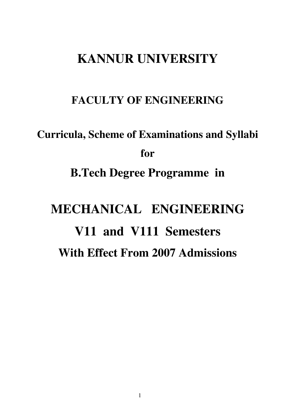# **KANNUR UNIVERSITY**

# **FACULTY OF ENGINEERING**

# **Curricula, Scheme of Examinations and Syllabi for B.Tech Degree Programme in MECHANICAL ENGINEERING V11 and V111 Semesters With Effect From 2007 Admissions**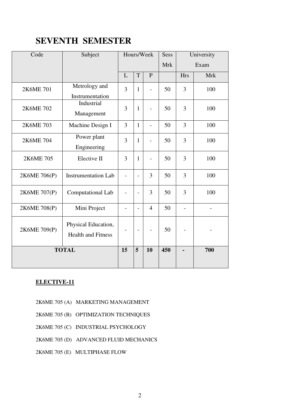# **SEVENTH SEMESTER**

| Code         | Subject                                          |                          |                          | Hours/Week               | Sess       |                          | University               |
|--------------|--------------------------------------------------|--------------------------|--------------------------|--------------------------|------------|--------------------------|--------------------------|
|              |                                                  |                          |                          |                          | <b>Mrk</b> |                          | Exam                     |
|              |                                                  | L                        | T                        | $\mathbf{P}$             |            | <b>Hrs</b>               | <b>Mrk</b>               |
| 2K6ME 701    | Metrology and<br>Instrumentation                 | 3                        | $\mathbf{1}$             | $\overline{a}$           | 50         | 3                        | 100                      |
| 2K6ME 702    | Industrial<br>Management                         | 3                        | $\mathbf{1}$             |                          | 50         | 3                        | 100                      |
| 2K6ME 703    | Machine Design I                                 | 3                        | $\mathbf{1}$             | $\overline{a}$           | 50         | $\overline{3}$           | 100                      |
| 2K6ME 704    | Power plant<br>Engineering                       | $\overline{3}$           | $\mathbf{1}$             | $\overline{\phantom{0}}$ | 50         | $\overline{3}$           | 100                      |
| 2K6ME 705    | Elective II                                      | 3                        | $\mathbf{1}$             | $\overline{\phantom{0}}$ | 50         | 3                        | 100                      |
| 2K6ME 706(P) | <b>Instrumentation Lab</b>                       | $\qquad \qquad -$        | $\overline{\phantom{0}}$ | 3                        | 50         | 3                        | 100                      |
| 2K6ME 707(P) | Computational Lab                                | $\overline{a}$           |                          | 3                        | 50         | 3                        | 100                      |
| 2K6ME 708(P) | Mini Project                                     | $\overline{\phantom{a}}$ | $\overline{\phantom{0}}$ | $\overline{4}$           | 50         | $\overline{\phantom{a}}$ | $\overline{\phantom{a}}$ |
| 2K6ME 709(P) | Physical Education,<br><b>Health and Fitness</b> | $\overline{\phantom{0}}$ |                          |                          | 50         |                          |                          |
|              | <b>TOTAL</b>                                     | 15                       | 5                        | 10                       | 450        |                          | 700                      |

# **ELECTIVE-11**

- 2K6ME 705 (A) MARKETING MANAGEMENT
- 2K6ME 705 (B) OPTIMIZATION TECHNIQUES
- 2K6ME 705 (C) INDUSTRIAL PSYCHOLOGY
- 2K6ME 705 (D) ADVANCED FLUID MECHANICS
- 2K6ME 705 (E) MULTIPHASE FLOW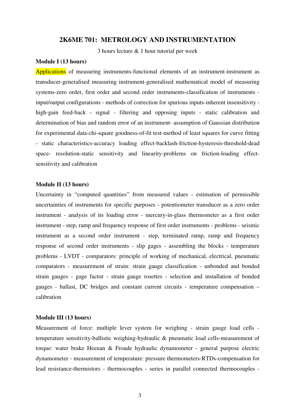# **2K6ME 701: METROLOGY AND INSTRUMENTATION**

3 hours lecture & 1 hour tutorial per week

#### **Module I (13 hours)**

Applications of measuring instruments-functional elements of an instrument-instrument as transducer-generalised measuring instrument-generalised mathematical model of measuring systems-zero order, first order and second order instruments-classification of instruments input/output configurations - methods of correction for spurious inputs-inherent insensitivity high-gain feed-back - signal - filtering and opposing inputs - static calibration and determination of bias and random error of an instrument- assumption of Gaussian distribution for experimental data-chi-square goodness-of-fit test-method of least squares for curve fitting - static characteristics-accuracy loading effect-backlash-friction-hysteresis-threshold-dead space- resolution-static sensitivity and linearity-problems on friction-loading effectsensitivity and calibration

#### **Module II (13 hours)**

Uncertainty in "computed quantities" from measured values - estimation of permissible uncertainties of instruments for specific purposes - potentiometer transducer as a zero order instrument - analysis of its loading error - mercury-in-glass thermometer as a first order instrument - step, ramp and frequency response of first order instruments - problems - seismic instrument as a second order instrument - step, terminated ramp, ramp and frequency response of second order instruments - slip gages - assembling the blocks - temperature problems - LVDT - comparators: principle of working of mechanical, electrical, pneumatic comparators - measurement of strain: strain gauge classification - unbonded and bonded strain gauges - gage factor - strain gauge rosettes - selection and installation of bonded gauges - ballast, DC bridges and constant current circuits - temperature compensation – calibration

# **Module III (13 hours)**

Measurement of force: multiple lever system for weighing - strain gauge load cells temperature sensitivity-ballistic weighing-hydraulic & pneumatic load cells-measurement of torque: water brake Heenan & Froude hydraulic dynamometer - general purpose electric dynamometer - measurement of temperature: pressure thermometers-RTDs-compensation for lead resistance-thermistors - thermocouples - series in parallel connected thermocouples -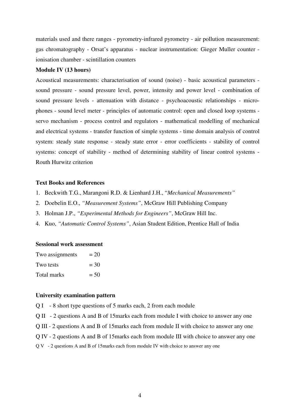materials used and there ranges - pyrometry-infrared pyrometry - air pollution measurement: gas chromatography - Orsat's apparatus - nuclear instrumentation: Gieger Muller counter ionisation chamber - scintillation counters

# **Module IV (13 hours)**

Acoustical measurements: characterisation of sound (noise) - basic acoustical parameters sound pressure - sound pressure level, power, intensity and power level - combination of sound pressure levels - attenuation with distance - psychoacoustic relationships - microphones - sound level meter - principles of automatic control: open and closed loop systems servo mechanism - process control and regulators - mathematical modelling of mechanical and electrical systems - transfer function of simple systems - time domain analysis of control system: steady state response - steady state error - error coefficients - stability of control systems: concept of stability - method of determining stability of linear control systems - Routh Hurwitz criterion

# **Text Books and References**

- 1. Beckwith T.G., Marangoni R.D. & Lienhard J.H., "*Mechanical Measurements"*
- 2. Doebelin E.O., *"Measurement Systems"*, McGraw Hill Publishing Company
- 3. Holman J.P., *"Experimental Methods for Engineers"*, McGraw Hill Inc.
- 4. Kuo, *"Automatic Control Systems"*, Asian Student Edition, Prentice Hall of India

#### **Sessional work assessment**

| Two assignments | $= 20$ |
|-----------------|--------|
| Two tests       | $= 30$ |
| Total marks     | $= 50$ |

#### **University examination pattern**

- Q I 8 short type questions of 5 marks each, 2 from each module
- Q II 2 questions A and B of 15marks each from module I with choice to answer any one
- Q III 2 questions A and B of 15marks each from module II with choice to answer any one
- Q IV 2 questions A and B of 15marks each from module III with choice to answer any one

Q V - 2 questions A and B of 15marks each from module IV with choice to answer any one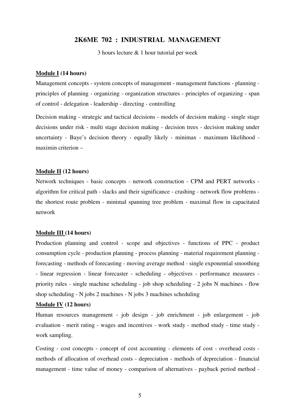# **2K6ME 702 : INDUSTRIAL MANAGEMENT**

3 hours lecture & 1 hour tutorial per week

# **Module I (14 hours)**

Management concepts - system concepts of management - management functions - planning principles of planning - organizing - organization structures - principles of organizing - span of control - delegation - leadership - directing - controlling

Decision making - strategic and tactical decisions - models of decision making - single stage decisions under risk - multi stage decision making - decision trees - decision making under uncertainty - Baye's decision theory - equally likely - minimax - maximum likelihood maximin criterion –

# **Module II (12 hours)**

Network techniques - basic concepts - network construction - CPM and PERT networks algorithm for critical path - slacks and their significance - crashing - network flow problems the shortest route problem - minimal spanning tree problem - maximal flow in capacitated network

#### **Module III (14 hours)**

Production planning and control - scope and objectives - functions of PPC - product consumption cycle - production planning - process planning - material requirement planning forecasting - methods of forecasting - moving average method - single exponential smoothing - linear regression - linear forecaster - scheduling - objectives - performance measures priority rules - single machine scheduling - job shop scheduling - 2 jobs N machines - flow shop scheduling - N jobs 2 machines - N jobs 3 machines scheduling

## **Module IV (12 hours)**

Human resources management - job design - job enrichment - job enlargement - job evaluation - merit rating - wages and incentives - work study - method study - time study work sampling.

Costing - cost concepts - concept of cost accounting - elements of cost - overhead costs methods of allocation of overhead costs - depreciation - methods of depreciation - financial management - time value of money - comparison of alternatives - payback period method -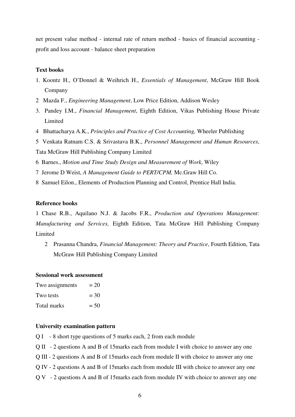net present value method - internal rate of return method - basics of financial accounting profit and loss account - balance sheet preparation

#### **Text books**

- 1. Koontz H., O'Donnel & Weihrich H., *Essentials of Management*, McGraw Hill Book Company
- 2 Mazda F., *Engineering Management*, Low Price Edition, Addison Wesley
- 3. Pandey I.M., *Financial Management*, Eighth Edition, Vikas Publishing House Private **Limited**
- 4 Bhattacharya A.K., *Principles and Practice of Cost Accounting,* Wheeler Publishing
- 5 Venkata Ratnam C.S. & Srivastava B.K., *Personnel Management and Human Resources*,
- Tata McGraw Hill Publishing Company Limited
- 6 Barnes., *Motion and Time Study Design and Measurement of Work*, Wiley
- 7 Jerome D Weist, *A Management Guide to PERT/CPM,* Mc.Graw Hill Co.
- 8 Samuel Eilon., Elements of Production Planning and Control, Prentice Hall India.

# **Reference books**

1 Chase R.B., Aquilano N.J. & Jacobs F.R., *Production and Operations Management: Manufacturing and Services,* Eighth Edition, Tata McGraw Hill Publishing Company Limited

2 Prasanna Chandra, *Financial Management: Theory and Practice*, Fourth Edition, Tata McGraw Hill Publishing Company Limited

# **Sessional work assessment**

| Two assignments | $= 20$ |
|-----------------|--------|
| Two tests       | $=$ 30 |
| Total marks     | $= 50$ |

- Q I 8 short type questions of 5 marks each, 2 from each module
- Q II 2 questions A and B of 15marks each from module I with choice to answer any one
- Q III 2 questions A and B of 15marks each from module II with choice to answer any one
- Q IV 2 questions A and B of 15marks each from module III with choice to answer any one
- Q V 2 questions A and B of 15marks each from module IV with choice to answer any one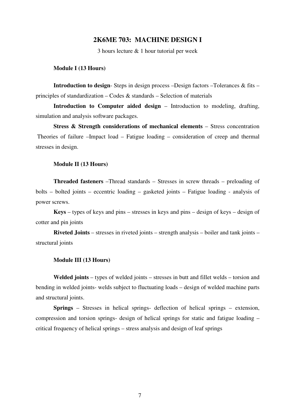# **2K6ME 703: MACHINE DESIGN I**

3 hours lecture & 1 hour tutorial per week

#### **Module I (13 Hours)**

**Introduction to design**- Steps in design process –Design factors –Tolerances & fits – principles of standardization – Codes & standards – Selection of materials

**Introduction to Computer aided design** – Introduction to modeling, drafting, simulation and analysis software packages.

**Stress & Strength considerations of mechanical elements** – Stress concentration Theories of failure –Impact load – Fatigue loading – consideration of creep and thermal stresses in design.

#### **Module II (13 Hours)**

**Threaded fasteners** –Thread standards – Stresses in screw threads – preloading of bolts – bolted joints – eccentric loading – gasketed joints – Fatigue loading - analysis of power screws.

**Keys** – types of keys and pins – stresses in keys and pins – design of keys – design of cotter and pin joints

**Riveted Joints** – stresses in riveted joints – strength analysis – boiler and tank joints – structural joints

#### **Module III (13 Hours)**

**Welded joints** – types of welded joints – stresses in butt and fillet welds – torsion and bending in welded joints- welds subject to fluctuating loads – design of welded machine parts and structural joints.

**Springs** – Stresses in helical springs- deflection of helical springs – extension, compression and torsion springs- design of helical springs for static and fatigue loading – critical frequency of helical springs – stress analysis and design of leaf springs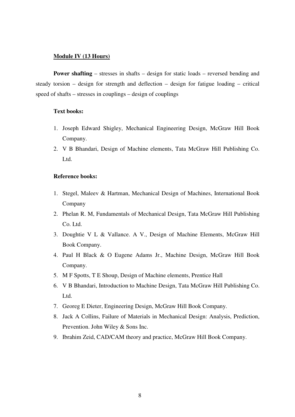# **Module IV (13 Hours)**

**Power shafting** – stresses in shafts – design for static loads – reversed bending and steady torsion – design for strength and deflection – design for fatigue loading – critical speed of shafts – stresses in couplings – design of couplings

# **Text books:**

- 1. Joseph Edward Shigley, Mechanical Engineering Design, McGraw Hill Book Company.
- 2. V B Bhandari, Design of Machine elements, Tata McGraw Hill Publishing Co. Ltd.

## **Reference books:**

- 1. Stegel, Maleev & Hartman, Mechanical Design of Machines, International Book Company
- 2. Phelan R. M, Fundamentals of Mechanical Design, Tata McGraw Hill Publishing Co. Ltd.
- 3. Doughtie V L & Vallance. A V., Design of Machine Elements, McGraw Hill Book Company.
- 4. Paul H Black & O Eugene Adams Jr., Machine Design, McGraw Hill Book Company.
- 5. M F Spotts, T E Shoup, Design of Machine elements, Prentice Hall
- 6. V B Bhandari, Introduction to Machine Design, Tata McGraw Hill Publishing Co. Ltd.
- 7. Georeg E Dieter, Engineering Design, McGraw Hill Book Company.
- 8. Jack A Collins, Failure of Materials in Mechanical Design: Analysis, Prediction, Prevention. John Wiley & Sons Inc.
- 9. Ibrahim Zeid, CAD/CAM theory and practice, McGraw Hill Book Company.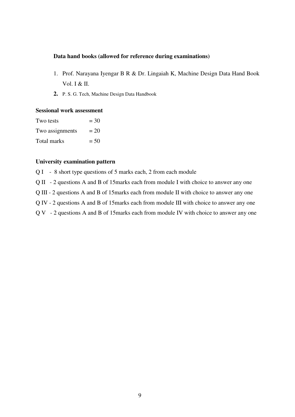# **Data hand books (allowed for reference during examinations)**

- 1. Prof. Narayana Iyengar B R & Dr. Lingaiah K, Machine Design Data Hand Book Vol. I & II.
- **2.** P. S. G. Tech, Machine Design Data Handbook

# **Sessional work assessment**

| Two tests          | $= 30$ |
|--------------------|--------|
| Two assignments    | $= 20$ |
| <b>Total marks</b> | $= 50$ |

# **University examination pattern**

Q I - 8 short type questions of 5 marks each, 2 from each module

Q II - 2 questions A and B of 15marks each from module I with choice to answer any one

Q III - 2 questions A and B of 15marks each from module II with choice to answer any one

Q IV - 2 questions A and B of 15marks each from module III with choice to answer any one

Q V - 2 questions A and B of 15marks each from module IV with choice to answer any one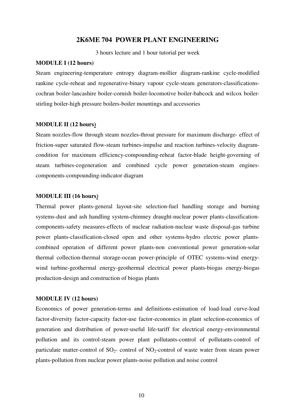# **2K6ME 704 POWER PLANT ENGINEERING**

3 hours lecture and 1 hour tutorial per week

# **MODULE I (12 hours)**

Steam engineering-temperature entropy diagram-mollier diagram-rankine cycle-modified rankine cycle-reheat and regenerative-binary vapour cycle-steam generators-classificationscochran boiler-lancashire boiler-cornish boiler-locomotive boiler-babcock and wilcox boilerstirling boiler-high pressure boilers-boiler mountings and accessories

# **MODULE II (12 hours)**

Steam nozzles-flow through steam nozzles-throat pressure for maximum discharge- effect of friction-super saturated flow-steam turbines-impulse and reaction turbines-velocity diagramcondition for maximum efficiency-compounding-reheat factor-blade height-governing of steam turbines-cogeneration and combined cycle power generation-steam enginescomponents-compounding-indicator diagram

#### **MODULE III (16 hours)**

Thermal power plants-general layout-site selection-fuel handling storage and burning systems-dust and ash handling system-chimney draught-nuclear power plants-classificationcomponents-safety measures-effects of nuclear radiation-nuclear waste disposal-gas turbine power plants-classification-closed open and other systems-hydro electric power plantscombined operation of different power plants-non conventional power generation-solar thermal collection-thermal storage-ocean power-principle of OTEC systems-wind energywind turbine-geothermal energy-geothermal electrical power plants-biogas energy-biogas production-design and construction of biogas plants

#### **MODULE IV (12 hours)**

Economics of power generation-terms and definitions-estimation of load-load curve-load factor-diversity factor-capacity factor-use factor-economics in plant selection-economics of generation and distribution of power-useful life-tariff for electrical energy-environmental pollution and its control-steam power plant pollutants-control of pollutants-control of particulate matter-control of  $SO_2$ - control of NO<sub>2</sub>-control of waste water from steam power plants-pollution from nuclear power plants-noise pollution and noise control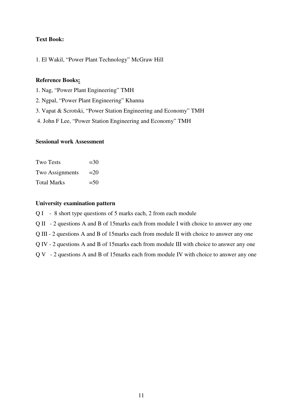# **Text Book:**

1. El Wakil, "Power Plant Technology" McGraw Hill

# **Reference Books:**

- 1. Nag, "Power Plant Engineering" TMH
- 2. Ngpal, "Power Plant Engineering" Khanna
- 3. Vapat & Scrotski, "Power Station Engineering and Economy" TMH
- 4. John F Lee, "Power Station Engineering and Economy" TMH

# **Sessional work Assessment**

| <b>Two Tests</b>   | $=30$  |
|--------------------|--------|
| Two Assignments    | $=20$  |
| <b>Total Marks</b> | $= 50$ |

- Q I 8 short type questions of 5 marks each, 2 from each module
- Q II 2 questions A and B of 15marks each from module I with choice to answer any one
- Q III 2 questions A and B of 15marks each from module II with choice to answer any one
- Q IV 2 questions A and B of 15marks each from module III with choice to answer any one
- Q V 2 questions A and B of 15marks each from module IV with choice to answer any one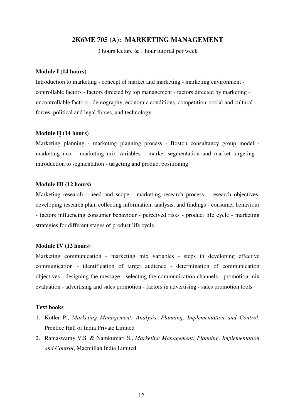# **2K6ME 705 (A): MARKETING MANAGEMENT**

3 hours lecture & 1 hour tutorial per week

# **Module I (14 hours)**

Introduction to marketing - concept of market and marketing - marketing environment controllable factors - factors directed by top management - factors directed by marketing uncontrollable factors - demography, economic conditions, competition, social and cultural forces, political and legal forces, and technology

# **Module II (14 hours)**

Marketing planning - marketing planning process - Boston consultancy group model marketing mix - marketing mix variables - market segmentation and market targeting introduction to segmentation - targeting and product positioning

## **Module III (12 hours)**

Marketing research - need and scope - marketing research process - research objectives, developing research plan, collecting information, analysis, and findings - consumer behaviour - factors influencing consumer behaviour - perceived risks - product life cycle - marketing strategies for different stages of product life cycle

#### **Module IV (12 hours)**

Marketing communication - marketing mix variables - steps in developing effective communication - identification of target audience - determination of communication objectives - designing the message - selecting the communication channels - promotion mix evaluation - advertising and sales promotion - factors in advertising - sales promotion tools

# **Text books**

- 1. Kotler P., *Marketing Management: Analysis, Planning, Implementation and Control*, Prentice Hall of India Private Limited
- 2. Ramaswamy V.S. & Namkumari S., *Marketing Management: Planning, Implementation and Control*, Macmillan India Limited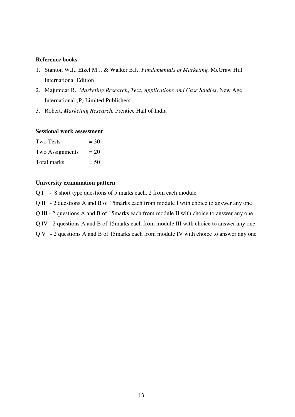# **Reference books**

- 1. Stanton W.J., Etzel M.J. & Walker B.J., *Fundamentals of Marketing,* McGraw Hill International Edition
- 2. Majumdar R., *Marketing Research*, *Text, Applications and Case Studies*, New Age International (P) Limited Publishers
- 3. Robert, *Marketing Research,* Prentice Hall of India

# **Sessional work assessment**

| <b>Two Tests</b> | $=$ 30 |
|------------------|--------|
| Two Assignments  | $= 20$ |
| Total marks      | $= 50$ |

- Q I 8 short type questions of 5 marks each, 2 from each module
- Q II 2 questions A and B of 15marks each from module I with choice to answer any one
- Q III 2 questions A and B of 15marks each from module II with choice to answer any one
- Q IV 2 questions A and B of 15marks each from module III with choice to answer any one
- Q V 2 questions A and B of 15marks each from module IV with choice to answer any one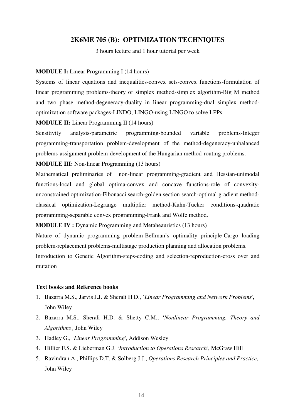# **2K6ME 705 (B): OPTIMIZATION TECHNIQUES**

3 hours lecture and 1 hour tutorial per week

# **MODULE I:** Linear Programming I (14 hours)

Systems of linear equations and inequalities-convex sets-convex functions-formulation of linear programming problems-theory of simplex method-simplex algorithm-Big M method and two phase method-degeneracy-duality in linear programming-dual simplex methodoptimization software packages-LINDO, LINGO-using LINGO to solve LPPs.

**MODULE II:** Linear Programming II (14 hours)

Sensitivity analysis-parametric programming-bounded variable problems-Integer programming-transportation problem-development of the method-degeneracy-unbalanced problems-assignment problem-development of the Hungarian method-routing problems.

# **MODULE III:** Non-linear Programming (13 hours)

Mathematical preliminaries of non-linear programming-gradient and Hessian-unimodal functions-local and global optima-convex and concave functions-role of convexityunconstrained optimization-Fibonacci search-golden section search-optimal gradient methodclassical optimization-Legrange multiplier method-Kuhn-Tucker conditions-quadratic programming-separable convex programming-Frank and Wolfe method.

**MODULE IV :** Dynamic Programming and Metaheauristics (13 hours)

Nature of dynamic programming problem-Bellman's optimality principle-Cargo loading problem-replacement problems-multistage production planning and allocation problems.

Introduction to Genetic Algorithm-steps-coding and selection-reproduction-cross over and mutation

#### **Text books and Reference books**

- 1. Bazarra M.S., Jarvis J.J. & Sherali H.D., '*Linear Programming and Network Problems*', John Wiley
- 2. Bazarra M.S., Sherali H.D. & Shetty C.M., '*Nonlinear Programming, Theory and Algorithms',* John Wiley
- 3. Hadley G., '*Linear Programming*', Addison Wesley
- 4. Hillier F.S. & Lieberman G.J. '*Introduction to Operations Research'*, McGraw Hill
- 5. Ravindran A., Phillips D.T. & Solberg J.J., *Operations Research Principles and Practice*, John Wiley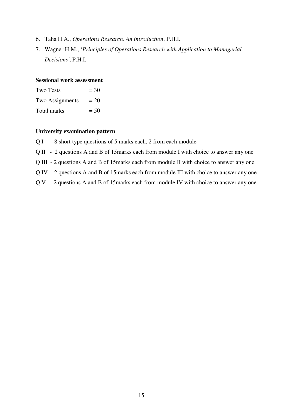- 6. Taha H.A., *Operations Research, An introduction*, P.H.I.
- 7. Wagner H.M., '*Principles of Operations Research with Application to Managerial Decisions'*, P.H.I.

# **Sessional work assessment**

| <b>Two Tests</b> | $=$ 30 |
|------------------|--------|
| Two Assignments  | $= 20$ |
| Total marks      | $= 50$ |

- Q I 8 short type questions of 5 marks each, 2 from each module
- Q II 2 questions A and B of 15marks each from module I with choice to answer any one
- Q III 2 questions A and B of 15marks each from module II with choice to answer any one
- Q IV 2 questions A and B of 15marks each from module III with choice to answer any one
- Q V 2 questions A and B of 15marks each from module IV with choice to answer any one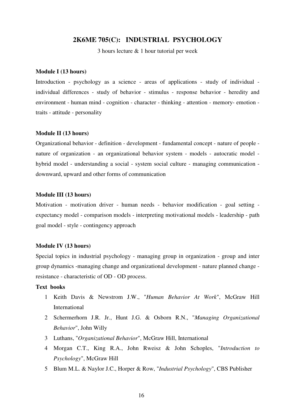# **2K6ME 705(C): INDUSTRIAL PSYCHOLOGY**

3 hours lecture & 1 hour tutorial per week

# **Module I (13 hours)**

Introduction - psychology as a science - areas of applications - study of individual individual differences - study of behavior - stimulus - response behavior - heredity and environment - human mind - cognition - character - thinking - attention - memory- emotion traits - attitude - personality

#### **Module II (13 hours)**

Organizational behavior - definition - development - fundamental concept - nature of people nature of organization - an organizational behavior system - models - autocratic model hybrid model - understanding a social - system social culture - managing communication downward, upward and other forms of communication

#### **Module III (13 hours)**

Motivation - motivation driver - human needs - behavior modification - goal setting expectancy model - comparison models - interpreting motivational models - leadership - path goal model - style - contingency approach

# **Module IV (13 hours)**

Special topics in industrial psychology - managing group in organization - group and inter group dynamics -managing change and organizational development - nature planned change resistance - characteristic of OD - OD process.

# **Text books**

- 1 Keith Davis & Newstrom J.W., "*Human Behavior At Work*", McGraw Hill International
- 2 Schermerhorn J.R. Jr., Hunt J.G. & Osborn R.N., "*Managing Organizational Behavior*", John Willy
- 3 Luthans, "*Organizational Behavior*", McGraw Hill, International
- 4 Morgan C.T., King R.A., John Rweisz & John Schoples, "*Introduction to Psychology*", McGraw Hill
- 5 Blum M.L. & Naylor J.C., Horper & Row, "*Industrial Psychology*", CBS Publisher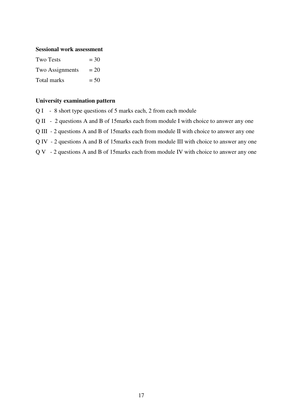#### **Sessional work assessment**

| Two Tests       | $=$ 30 |
|-----------------|--------|
| Two Assignments | $= 20$ |
| Total marks     | $= 50$ |

- Q I 8 short type questions of 5 marks each, 2 from each module
- Q II 2 questions A and B of 15marks each from module I with choice to answer any one
- Q III 2 questions A and B of 15marks each from module II with choice to answer any one
- Q IV 2 questions A and B of 15marks each from module III with choice to answer any one
- Q V 2 questions A and B of 15marks each from module IV with choice to answer any one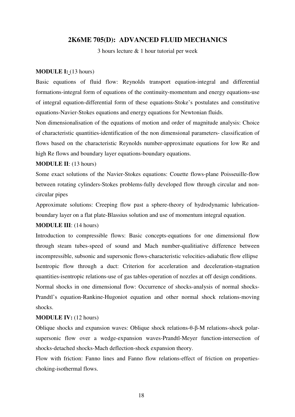# **2K6ME 705(D): ADVANCED FLUID MECHANICS**

3 hours lecture & 1 hour tutorial per week

#### **MODULE I:** (13 hours)

Basic equations of fluid flow: Reynolds transport equation-integral and differential formations-integral form of equations of the continuity-momentum and energy equations-use of integral equation-differential form of these equations-Stoke's postulates and constitutive equations-Navier-Stokes equations and energy equations for Newtonian fluids.

Non dimensionalisation of the equations of motion and order of magnitude analysis: Choice of characteristic quantities-identification of the non dimensional parameters- classification of flows based on the characteristic Reynolds number-approximate equations for low Re and high Re flows and boundary layer equations-boundary equations.

# **MODULE II**: (13 hours)

Some exact solutions of the Navier-Stokes equations: Couette flows-plane Poisseuille-flow between rotating cylinders-Stokes problems-fully developed flow through circular and noncircular pipes

Approximate solutions: Creeping flow past a sphere-theory of hydrodynamic lubricationboundary layer on a flat plate-Blassius solution and use of momentum integral equation.

# **MODULE III**: (14 hours)

Introduction to compressible flows: Basic concepts-equations for one dimensional flow through steam tubes-speed of sound and Mach number-qualitiative difference between incompressible, subsonic and supersonic flows-characteristic velocities-adiabatic flow ellipse Isentropic flow through a duct: Criterion for acceleration and deceleration-stagnation quantities-isentropic relations-use of gas tables-operation of nozzles at off design conditions. Normal shocks in one dimensional flow: Occurrence of shocks-analysis of normal shocks-Prandtl's equation-Rankine-Hugoniot equation and other normal shock relations-moving shocks.

## **MODULE IV:** (12 hours)

Oblique shocks and expansion waves: Oblique shock relations-θ-β-M relations-shock polarsupersonic flow over a wedge-expansion waves-Prandtl-Meyer function-intersection of shocks-detached shocks-Mach deflection-shock expansion theory.

Flow with friction: Fanno lines and Fanno flow relations-effect of friction on propertieschoking-isothermal flows.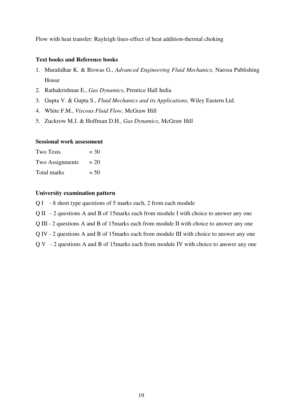Flow with heat transfer: Rayleigh lines-effect of heat addition-thermal choking

# **Text books and Reference books**

- 1. Muralidhar K. & Biswas G., *Advanced Engineering Fluid Mechanics,* Narosa Publishing House
- 2. Rathakrishnan E., *Gas Dynamics*, Prentice Hall India
- 3. Gupta V. & Gupta S., *Fluid Mechanics and its Applications,* Wiley Eastern Ltd.
- 4. White F.M., *Viscous Fluid Flow,* McGraw Hill
- 5. Zuckrow M.J. & Hoffman D.H., *Gas Dynamics*, McGraw Hill

# **Sessional work assessment**

| <b>Two Tests</b> | $=$ 30 |
|------------------|--------|
| Two Assignments  | $= 20$ |
| Total marks      | $= 50$ |

- Q I 8 short type questions of 5 marks each, 2 from each module
- Q II 2 questions A and B of 15marks each from module I with choice to answer any one
- Q III 2 questions A and B of 15marks each from module II with choice to answer any one
- Q IV 2 questions A and B of 15marks each from module III with choice to answer any one
- Q V 2 questions A and B of 15marks each from module IV with choice to answer any one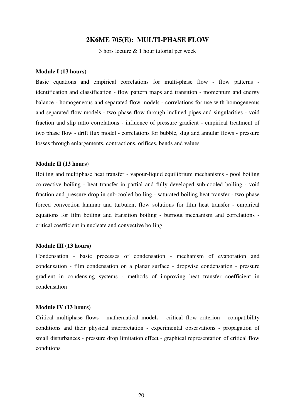# **2K6ME 705(E): MULTI-PHASE FLOW**

3 hors lecture & 1 hour tutorial per week

#### **Module I (13 hours)**

Basic equations and empirical correlations for multi-phase flow - flow patterns identification and classification - flow pattern maps and transition - momentum and energy balance - homogeneous and separated flow models - correlations for use with homogeneous and separated flow models - two phase flow through inclined pipes and singularities - void fraction and slip ratio correlations - influence of pressure gradient - empirical treatment of two phase flow - drift flux model - correlations for bubble, slug and annular flows - pressure losses through enlargements, contractions, orifices, bends and values

#### **Module II (13 hours)**

Boiling and multiphase heat transfer - vapour-liquid equilibrium mechanisms - pool boiling convective boiling - heat transfer in partial and fully developed sub-cooled boiling - void fraction and pressure drop in sub-cooled boiling - saturated boiling heat transfer - two phase forced convection laminar and turbulent flow solutions for film heat transfer - empirical equations for film boiling and transition boiling - burnout mechanism and correlations critical coefficient in nucleate and convective boiling

#### **Module III (13 hours)**

Condensation - basic processes of condensation - mechanism of evaporation and condensation - film condensation on a planar surface - dropwise condensation - pressure gradient in condensing systems - methods of improving heat transfer coefficient in condensation

# **Module IV (13 hours)**

Critical multiphase flows - mathematical models - critical flow criterion - compatibility conditions and their physical interpretation - experimental observations - propagation of small disturbances - pressure drop limitation effect - graphical representation of critical flow conditions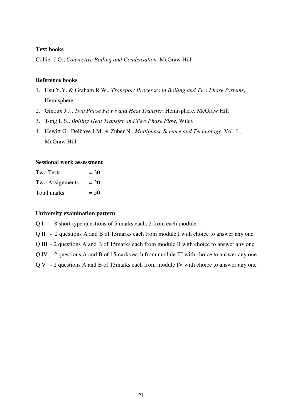# **Text books**

Collier J.G., *Convective Boiling and Condensation,* McGraw Hill

# **Reference books**

- 1. Hsu Y.Y. & Graham R.W., *Transport Processes in Boiling and Two Phase Systems*, Hemisphere
- 2. Ginoux J.J., *Two Phase Flows and Heat Transfer*, Hemisphere, McGraw Hill
- 3. Tong L.S., *Boiling Heat Transfer and Two Phase Flow*, Wiley
- 4. Hewitt G., Delhaye J.M. & Zuber N., *Multiphase Science and Technology*, Vol. I., McGraw Hill

# **Sessional work assessment**

| <b>Two Tests</b> | $=$ 30 |
|------------------|--------|
| Two Assignments  | $= 20$ |
| Total marks      | $= 50$ |

#### **University examination pattern**

Q I - 8 short type questions of 5 marks each, 2 from each module

Q II - 2 questions A and B of 15marks each from module I with choice to answer any one

Q III - 2 questions A and B of 15marks each from module II with choice to answer any one

Q IV - 2 questions A and B of 15marks each from module III with choice to answer any one

Q V - 2 questions A and B of 15marks each from module IV with choice to answer any one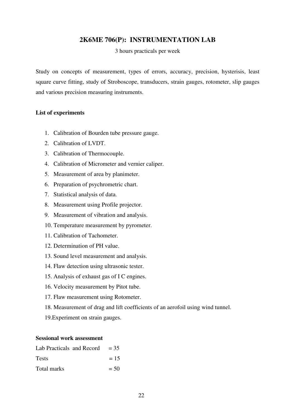# **2K6ME 706(P): INSTRUMENTATION LAB**

3 hours practicals per week

Study on concepts of measurement, types of errors, accuracy, precision, hysterisis, least square curve fitting, study of Stroboscope, transducers, strain gauges, rotometer, slip gauges and various precision measuring instruments.

## **List of experiments**

- 1. Calibration of Bourden tube pressure gauge.
- 2. Calibration of LVDT.
- 3. Calibration of Thermocouple.
- 4. Calibration of Micrometer and vernier caliper.
- 5. Measurement of area by planimeter.
- 6. Preparation of psychrometric chart.
- 7. Statistical analysis of data.
- 8. Measurement using Profile projector.
- 9. Measurement of vibration and analysis.
- 10. Temperature measurement by pyrometer.
- 11. Calibration of Tachometer.
- 12. Determination of PH value.
- 13. Sound level measurement and analysis.
- 14. Flaw detection using ultrasonic tester.
- 15. Analysis of exhaust gas of I C engines.
- 16. Velocity measurement by Pitot tube.
- 17. Flaw measurement using Rotometer.
- 18. Measurement of drag and lift coefficients of an aerofoil using wind tunnel.
- 19.Experiment on strain gauges.

## **Sessional work assessment**

| Lab Practicals and Record $= 35$ |        |
|----------------------------------|--------|
| <b>Tests</b>                     | $= 15$ |
| Total marks                      | $= 50$ |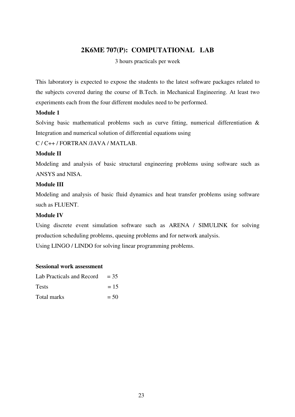# **2K6ME 707(P): COMPUTATIONAL LAB**

3 hours practicals per week

This laboratory is expected to expose the students to the latest software packages related to the subjects covered during the course of B.Tech. in Mechanical Engineering. At least two experiments each from the four different modules need to be performed.

# **Module 1**

Solving basic mathematical problems such as curve fitting, numerical differentiation & Integration and numerical solution of differential equations using

C / C++ / FORTRAN /JAVA / MATLAB.

# **Module II**

Modeling and analysis of basic structural engineering problems using software such as ANSYS and NISA.

# **Module III**

Modeling and analysis of basic fluid dynamics and heat transfer problems using software such as FLUENT.

# **Module IV**

Using discrete event simulation software such as ARENA / SIMULINK for solving production scheduling problems, queuing problems and for network analysis. Using LINGO / LINDO for solving linear programming problems.

# **Sessional work assessment**

| Lab Practicals and Record | $= 35$ |
|---------------------------|--------|
| <b>Tests</b>              | $= 15$ |
| Total marks               | $= 50$ |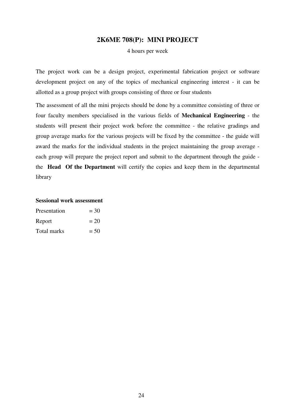# **2K6ME 708(P): MINI PROJECT**

4 hours per week

The project work can be a design project, experimental fabrication project or software development project on any of the topics of mechanical engineering interest - it can be allotted as a group project with groups consisting of three or four students

The assessment of all the mini projects should be done by a committee consisting of three or four faculty members specialised in the various fields of **Mechanical Engineering** - the students will present their project work before the committee - the relative gradings and group average marks for the various projects will be fixed by the committee - the guide will award the marks for the individual students in the project maintaining the group average each group will prepare the project report and submit to the department through the guide the **Head Of the Department** will certify the copies and keep them in the departmental library

# **Sessional work assessment**  Presentation  $= 30$

| Report      | $= 20$ |
|-------------|--------|
| Total marks | $= 50$ |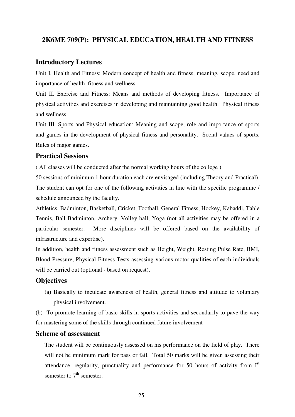# **2K6ME 709(P): PHYSICAL EDUCATION, HEALTH AND FITNESS**

# **Introductory Lectures**

Unit I. Health and Fitness: Modern concept of health and fitness, meaning, scope, need and importance of health, fitness and wellness.

Unit II. Exercise and Fitness: Means and methods of developing fitness. Importance of physical activities and exercises in developing and maintaining good health. Physical fitness and wellness.

Unit III. Sports and Physical education: Meaning and scope, role and importance of sports and games in the development of physical fitness and personality. Social values of sports. Rules of major games.

# **Practical Sessions**

( All classes will be conducted after the normal working hours of the college )

50 sessions of minimum 1 hour duration each are envisaged (including Theory and Practical). The student can opt for one of the following activities in line with the specific programme / schedule announced by the faculty.

Athletics, Badminton, Basketball, Cricket, Football, General Fitness, Hockey, Kabaddi, Table Tennis, Ball Badminton, Archery, Volley ball, Yoga (not all activities may be offered in a particular semester. More disciplines will be offered based on the availability of infrastructure and expertise).

In addition, health and fitness assessment such as Height, Weight, Resting Pulse Rate, BMI, Blood Pressure, Physical Fitness Tests assessing various motor qualities of each individuals will be carried out (optional - based on request).

# **Objectives**

(a) Basically to inculcate awareness of health, general fitness and attitude to voluntary physical involvement.

(b) To promote learning of basic skills in sports activities and secondarily to pave the way for mastering some of the skills through continued future involvement

# **Scheme of assessment**

The student will be continuously assessed on his performance on the field of play. There will not be minimum mark for pass or fail. Total 50 marks will be given assessing their attendance, regularity, punctuality and performance for 50 hours of activity from  $I<sup>st</sup>$ semester to  $7<sup>th</sup>$  semester.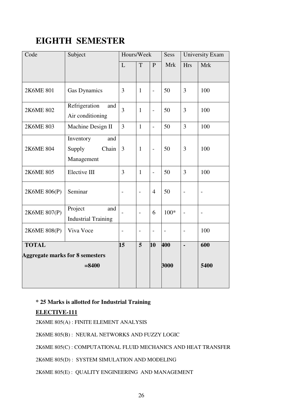# **EIGHTH SEMESTER**

| Code                                   | Subject                                           | Hours/Week               |                          |                          |            | Sess                     | <b>University Exam</b>   |  |
|----------------------------------------|---------------------------------------------------|--------------------------|--------------------------|--------------------------|------------|--------------------------|--------------------------|--|
|                                        |                                                   | L                        | T                        | P                        | <b>Mrk</b> | <b>Hrs</b>               | <b>Mrk</b>               |  |
| 2K6ME 801                              | <b>Gas Dynamics</b>                               | 3                        | $\mathbf{1}$             | $\overline{a}$           | 50         | 3                        | 100                      |  |
| 2K6ME 802                              | Refrigeration<br>and<br>Air conditioning          | $\overline{3}$           | $\mathbf{1}$             | $\overline{\phantom{0}}$ | 50         | $\overline{3}$           | 100                      |  |
| 2K6ME 803                              | Machine Design II                                 | $\overline{3}$           | $\mathbf{1}$             | $\overline{\phantom{0}}$ | 50         | $\overline{3}$           | 100                      |  |
| 2K6ME 804                              | Inventory<br>and<br>Supply<br>Chain<br>Management | 3                        | $\mathbf{1}$             | $\overline{\phantom{0}}$ | 50         | 3                        | 100                      |  |
| 2K6ME 805                              | Elective III                                      | 3                        | $\mathbf{1}$             | $\overline{a}$           | 50         | 3                        | 100                      |  |
| 2K6ME 806(P)                           | Seminar                                           | $\overline{a}$           | $\overline{a}$           | $\overline{4}$           | 50         | $\overline{a}$           |                          |  |
| 2K6ME 807(P)                           | Project<br>and<br><b>Industrial Training</b>      |                          | $\overline{a}$           | 6                        | $100*$     | $\overline{a}$           | $\overline{\phantom{a}}$ |  |
| 2K6ME 808(P)                           | Viva Voce                                         | $\overline{\phantom{0}}$ | $\overline{\phantom{0}}$ | $\qquad \qquad -$        |            | $\overline{\phantom{0}}$ | 100                      |  |
| <b>TOTAL</b>                           |                                                   | 15                       | $\overline{5}$           | 10                       | 400        | $\blacksquare$           | 600                      |  |
| <b>Aggregate marks for 8 semesters</b> |                                                   |                          |                          |                          |            |                          |                          |  |
|                                        | $= 8400$                                          |                          |                          |                          | 3000       |                          | 5400                     |  |
|                                        |                                                   |                          |                          |                          |            |                          |                          |  |

# **\* 25 Marks is allotted for Industrial Training**

# **ELECTIVE-111**

2K6ME 805(A) : FINITE ELEMENT ANALYSIS

2K6ME 805(B) : NEURAL NETWORKS AND FUZZY LOGIC

2K6ME 805(C) : COMPUTATIONAL FLUID MECHANICS AND HEAT TRANSFER

2K6ME 805(D) : SYSTEM SIMULATION AND MODELING

2K6ME 805(E) : QUALITY ENGINEERING AND MANAGEMENT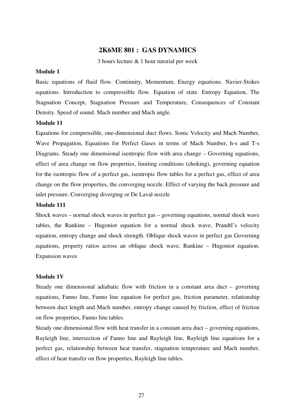# **2K6ME 801 : GAS DYNAMICS**

3 hours lecture & 1 hour tutorial per week

# **Module 1**

Basic equations of fluid flow. Continuity, Momentum, Energy equations. Navier-Stokes equations. Introduction to compressible flow. Equation of state. Entropy Equation, The Stagnation Concept, Stagnation Pressure and Temperature, Consequences of Constant Density. Speed of sound. Mach number and Mach angle.

# **Module 11**

Equations for compressible, one-dimensional duct flows. Sonic Velocity and Mach Number, Wave Propagation, Equations for Perfect Gases in terms of Mach Number, h-s and T-s Diagrams. Steady one dimensional isentropic flow with area change – Governing equations, effect of area change on flow properties, limiting conditions (choking), governing equation for the isentropic flow of a perfect gas, isentropic flow tables for a perfect gas, effect of area change on the flow properties, the converging nozzle. Effect of varying the back pressure and inlet pressure. Converging diverging or De Laval nozzle

# **Module 111**

Shock waves – normal shock waves in perfect gas – governing equations, normal shock wave tables, the Rankine – Hugoniot equation for a normal shock wave, Prandtl's velocity equation, entropy change and shock strength. Oblique shock waves in perfect gas Governing equations, property ratios across an oblique shock wave, Rankine – Hugoniot equation. Expansion waves

#### **Module 1V**

Steady one dimensional adiabatic flow with friction in a constant area duct – governing equations, Fanno line, Fanno line equation for perfect gas, friction parameter, relationship between duct length and Mach number, entropy change caused by friction, effect of friction on flow properties, Fanno line tables.

Steady one dimensional flow with heat transfer in a constant area duct – governing equations, Rayleigh line, intersection of Fanno line and Rayleigh line, Rayleigh line equations for a perfect gas, relationship between heat transfer, stagnation temperature and Mach number, effect of heat transfer on flow properties, Rayleigh line tables.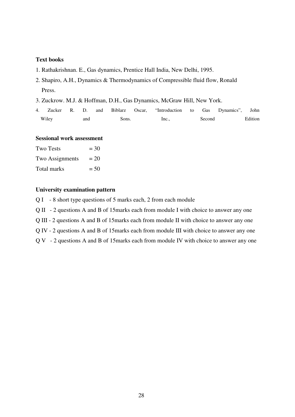# **Text books**

- 1. Rathakrishnan. E., Gas dynamics, Prentice Hall India, New Delhi, 1995.
- 2. Shapiro, A.H., Dynamics & Thermodynamics of Compressible fluid flow, Ronald Press.
- 3. Zuckrow. M.J. & Hoffman, D.H., Gas Dynamics, McGraw Hill, New York.
- 4. Zucker R. D. and Biblarz Oscar, "Introduction to Gas Dynamics", John Wiley and Sons. Inc., Second Edition

# **Sessional work assessment**

| <b>Two Tests</b> | $=$ 30 |
|------------------|--------|
| Two Assignments  | $= 20$ |
| Total marks      | $= 50$ |

- Q I 8 short type questions of 5 marks each, 2 from each module
- Q II 2 questions A and B of 15marks each from module I with choice to answer any one
- Q III 2 questions A and B of 15marks each from module II with choice to answer any one
- Q IV 2 questions A and B of 15marks each from module III with choice to answer any one
- Q V 2 questions A and B of 15marks each from module IV with choice to answer any one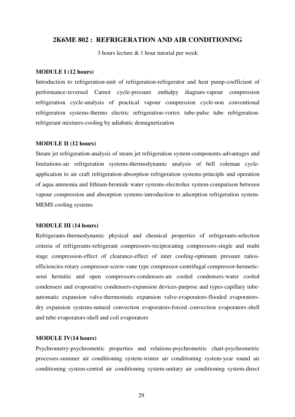# **2K6ME 802 : REFRIGERATION AND AIR CONDITIONING**

3 hours lecture & 1 hour tutorial per week

#### **MODULE I (12 hours)**

Introduction to refrigeration-unit of refrigeration-refrigerator and heat pump-coefficient of performance-reversed Carnot cycle-pressure enthalpy diagram-vapour compression refrigeration cycle-analysis of practical vapour compression cycle-non conventional refrigeration systems-thermo electric refrigeration-vortex tube-pulse tube refrigerationrefrigerant mixtures-cooling by adiabatic demagnetization

# **MODULE II (12 hours)**

Steam jet refrigeration-analysis of steam jet refrigeration system-components-advantages and limitations-air refrigeration systems-thermodynamic analysis of bell coleman cycleapplication to air craft refrigeration-absorption refrigeration systems-principle and operation of aqua ammonia and lithium-bromide water systems-electrolux system-comparison between vapour compression and absorption systems-introduction to adsorption refrigeration system-MEMS cooling systems

# **MODULE III (14 hours)**

Refrigerants-thermodynamic physical and chemical properties of refrigerants-selection criteria of refrigerants-refrigerant compressors-reciprocating compressors-single and multi stage compression-effect of clearance-effect of inter cooling-optimum pressure ratiosefficiencies-rotary compressor-screw-vane type compressor-centrifugal compressor-hermeticsemi hermitic and open compressors-condensers-air cooled condensers-water cooled condensers and evaporative condensers-expansion devices-purpose and types-capillary tubeautomatic expansion valve-thermostatic expansion valve-evaporators-flooded evaporatorsdry expansion systems-natural convection evaporators-forced convection evaporators-shell and tube evaporators-shell and coil evaporators

# **MODULE IV(14 hours)**

Psychrometry-psychrometric properties and relations-psychrometric chart-psychrometric processes-summer air conditioning system-winter air conditioning system-year round air conditioning system-central air conditioning system-unitary air conditioning system-direct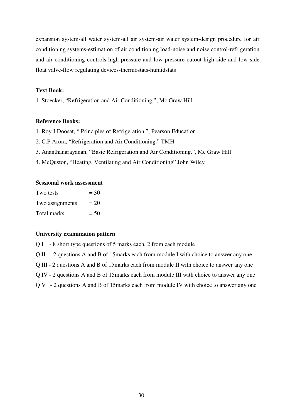expansion system-all water system-all air system-air water system-design procedure for air conditioning systems-estimation of air conditioning load-noise and noise control-refrigeration and air conditioning controls-high pressure and low pressure cutout-high side and low side float valve-flow regulating devices-thermostats-humidstats

# **Text Book:**

1. Stoecker, "Refrigeration and Air Conditioning.", Mc Graw Hill

## **Reference Books:**

- 1. Roy J Doosat, " Principles of Refrigeration.", Pearson Education
- 2. C.P Arora, "Refrigeration and Air Conditioning." TMH
- 3. Ananthanarayanan, "Basic Refrigeration and Air Conditioning.", Mc Graw Hill
- 4. McQuston, "Heating, Ventilating and Air Conditioning" John Wiley

# **Sessional work assessment**

| Two tests       | $=$ 30 |
|-----------------|--------|
| Two assignments | $= 20$ |
| Total marks     | $= 50$ |

# **University examination pattern**

Q I - 8 short type questions of 5 marks each, 2 from each module

Q II - 2 questions A and B of 15marks each from module I with choice to answer any one

Q III - 2 questions A and B of 15marks each from module II with choice to answer any one

Q IV - 2 questions A and B of 15marks each from module III with choice to answer any one

Q V - 2 questions A and B of 15marks each from module IV with choice to answer any one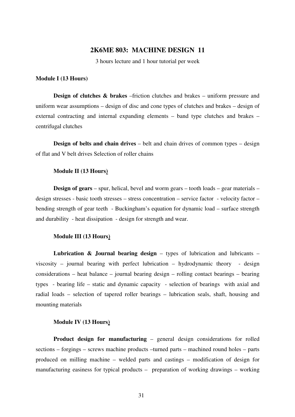# **2K6ME 803: MACHINE DESIGN 11**

3 hours lecture and 1 hour tutorial per week

#### **Module I (13 Hours)**

**Design of clutches & brakes** –friction clutches and brakes – uniform pressure and uniform wear assumptions – design of disc and cone types of clutches and brakes – design of external contracting and internal expanding elements – band type clutches and brakes – centrifugal clutches

**Design of belts and chain drives** – belt and chain drives of common types – design of flat and V belt drives Selection of roller chains

#### **Module II (13 Hours)**

**Design of gears** – spur, helical, bevel and worm gears – tooth loads – gear materials – design stresses - basic tooth stresses – stress concentration – service factor - velocity factor – bending strength of gear teeth - Buckingham's equation for dynamic load – surface strength and durability - heat dissipation - design for strength and wear.

#### **Module III (13 Hours)**

**Lubrication & Journal bearing design** – types of lubrication and lubricants – viscosity – journal bearing with perfect lubrication – hydrodynamic theory - design considerations – heat balance – journal bearing design – rolling contact bearings – bearing types - bearing life – static and dynamic capacity - selection of bearings with axial and radial loads – selection of tapered roller bearings – lubrication seals, shaft, housing and mounting materials

# **Module IV (13 Hours)**

**Product design for manufacturing** – general design considerations for rolled sections – forgings – screws machine products –turned parts – machined round holes – parts produced on milling machine – welded parts and castings – modification of design for manufacturing easiness for typical products – preparation of working drawings – working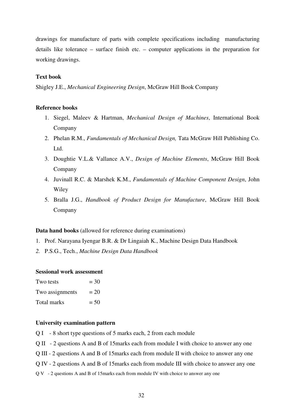drawings for manufacture of parts with complete specifications including manufacturing details like tolerance – surface finish etc. – computer applications in the preparation for working drawings.

#### **Text book**

Shigley J.E., *Mechanical Engineering Design*, McGraw Hill Book Company

# **Reference books**

- 1. Siegel, Maleev & Hartman, *Mechanical Design of Machines*, International Book Company
- 2. Phelan R.M., *Fundamentals of Mechanical Design,* Tata McGraw Hill Publishing Co. Ltd.
- 3. Doughtie V.L.& Vallance A.V., *Design of Machine Elements*, McGraw Hill Book Company
- 4. Juvinall R.C. & Marshek K.M., *Fundamentals of Machine Component Design*, John Wiley
- 5. Bralla J.G., *Handbook of Product Design for Manufacture*, McGraw Hill Book Company

#### **Data hand books** (allowed for reference during examinations)

- 1. Prof. Narayana Iyengar B.R. & Dr Lingaiah K., Machine Design Data Handbook
- *2.* P.S.G., Tech., *Machine Design Data Handbook*

#### **Sessional work assessment**

| Two tests       | $=$ 30 |
|-----------------|--------|
| Two assignments | $= 20$ |
| Total marks     | $= 50$ |

- Q I 8 short type questions of 5 marks each, 2 from each module
- Q II 2 questions A and B of 15marks each from module I with choice to answer any one
- Q III 2 questions A and B of 15marks each from module II with choice to answer any one
- Q IV 2 questions A and B of 15marks each from module III with choice to answer any one
- Q V 2 questions A and B of 15marks each from module IV with choice to answer any one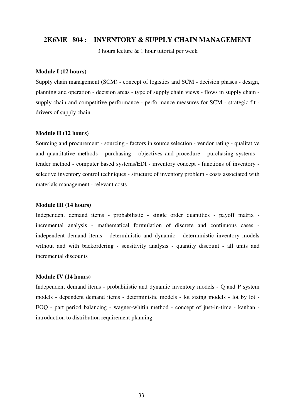# **2K6ME 804 : INVENTORY & SUPPLY CHAIN MANAGEMENT**

3 hours lecture & 1 hour tutorial per week

#### **Module I (12 hours)**

Supply chain management (SCM) - concept of logistics and SCM - decision phases - design, planning and operation - decision areas - type of supply chain views - flows in supply chain supply chain and competitive performance - performance measures for SCM - strategic fit drivers of supply chain

#### **Module II (12 hours)**

Sourcing and procurement - sourcing - factors in source selection - vendor rating - qualitative and quantitative methods - purchasing - objectives and procedure - purchasing systems tender method - computer based systems/EDI - inventory concept - functions of inventory selective inventory control techniques - structure of inventory problem - costs associated with materials management - relevant costs

# **Module III (14 hours)**

Independent demand items - probabilistic - single order quantities - payoff matrix incremental analysis - mathematical formulation of discrete and continuous cases independent demand items - deterministic and dynamic - deterministic inventory models without and with backordering - sensitivity analysis - quantity discount - all units and incremental discounts

#### **Module IV (14 hours)**

Independent demand items - probabilistic and dynamic inventory models - Q and P system models - dependent demand items - deterministic models - lot sizing models - lot by lot - EOQ - part period balancing - wagner-whitin method - concept of just-in-time - kanban introduction to distribution requirement planning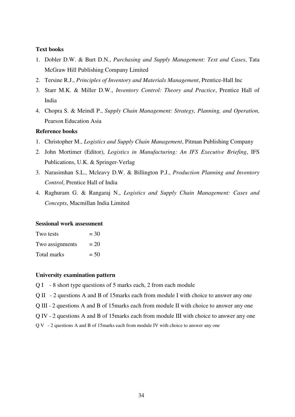# **Text books**

- 1. Dobler D.W. & Burt D.N., *Purchasing and Supply Management: Text and Cases*, Tata McGraw Hill Publishing Company Limited
- 2. Tersine R.J., *Principles of Inventory and Materials Management*, Prentice-Hall Inc
- 3. Starr M.K. & Miller D.W., *Inventory Control: Theory and Practice*, Prentice Hall of India
- 4. Chopra S. & Meindl P., *Supply Chain Management: Strategy, Planning, and Operation,* Pearson Education Asia

# **Reference books**

- 1. Christopher M., *Logistics and Supply Chain Management*, Pitman Publishing Company
- 2. John Mortimer (Editor), *Logistics in Manufacturing: An IFS Executive Briefing*, IFS Publications, U.K. & Springer-Verlag
- 3. Narasimhan S.L., Mcleavy D.W. & Billington P.J., *Production Planning and Inventory Control*, Prentice Hall of India
- 4. Raghuram G. & Rangaraj N., *Logistics and Supply Chain Management: Cases and Concepts*, Macmillan India Limited

#### **Sessional work assessment**

| Two tests       | $=$ 30 |
|-----------------|--------|
| Two assignments | $= 20$ |
| Total marks     | $= 50$ |

- Q I 8 short type questions of 5 marks each, 2 from each module
- Q II 2 questions A and B of 15marks each from module I with choice to answer any one
- Q III 2 questions A and B of 15marks each from module II with choice to answer any one
- Q IV 2 questions A and B of 15marks each from module III with choice to answer any one
- Q V 2 questions A and B of 15marks each from module IV with choice to answer any one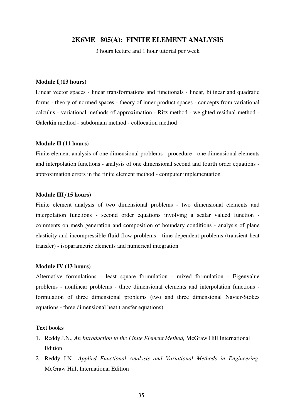# **2K6ME 805(A): FINITE ELEMENT ANALYSIS**

3 hours lecture and 1 hour tutorial per week

#### **Module I (13 hours)**

Linear vector spaces - linear transformations and functionals - linear, bilinear and quadratic forms - theory of normed spaces - theory of inner product spaces - concepts from variational calculus - variational methods of approximation - Ritz method - weighted residual method - Galerkin method - subdomain method - collocation method

#### **Module II (11 hours)**

Finite element analysis of one dimensional problems - procedure - one dimensional elements and interpolation functions - analysis of one dimensional second and fourth order equations approximation errors in the finite element method - computer implementation

#### **Module III (15 hours)**

Finite element analysis of two dimensional problems - two dimensional elements and interpolation functions - second order equations involving a scalar valued function comments on mesh generation and composition of boundary conditions - analysis of plane elasticity and incompressible fluid flow problems - time dependent problems (transient heat transfer) - isoparametric elements and numerical integration

## **Module IV (13 hours)**

Alternative formulations - least square formulation - mixed formulation - Eigenvalue problems - nonlinear problems - three dimensional elements and interpolation functions formulation of three dimensional problems (two and three dimensional Navier-Stokes equations - three dimensional heat transfer equations)

#### **Text books**

- 1. Reddy J.N., *An Introduction to the Finite Element Method,* McGraw Hill International **Edition**
- 2. Reddy J.N., *Applied Functional Analysis and Variational Methods in Engineering*, McGraw Hill, International Edition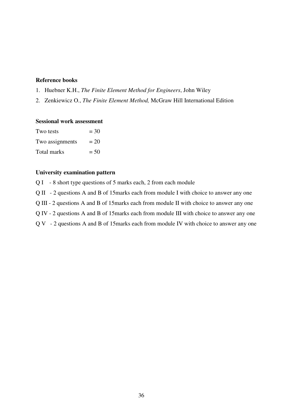# **Reference books**

- 1. Huebner K.H., *The Finite Element Method for Engineers*, John Wiley
- 2. Zenkiewicz O., *The Finite Element Method,* McGraw Hill International Edition

#### **Sessional work assessment**

| Two tests       | $=$ 30 |
|-----------------|--------|
| Two assignments | $= 20$ |
| Total marks     | $= 50$ |

# **University examination pattern**

Q I - 8 short type questions of 5 marks each, 2 from each module

Q II - 2 questions A and B of 15marks each from module I with choice to answer any one

Q III - 2 questions A and B of 15marks each from module II with choice to answer any one

Q IV - 2 questions A and B of 15marks each from module III with choice to answer any one

Q V - 2 questions A and B of 15marks each from module IV with choice to answer any one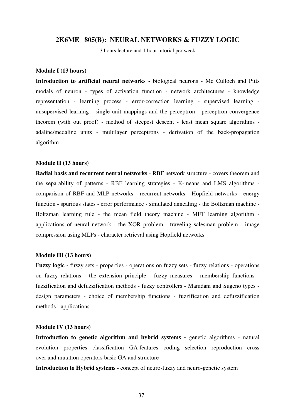#### **2K6ME 805(B): NEURAL NETWORKS & FUZZY LOGIC**

3 hours lecture and 1 hour tutorial per week

#### **Module I (13 hours)**

**Introduction to artificial neural networks -** biological neurons - Mc Culloch and Pitts modals of neuron - types of activation function - network architectures - knowledge representation - learning process - error-correction learning - supervised learning unsupervised learning - single unit mappings and the perceptron - perceptron convergence theorem (with out proof) - method of steepest descent - least mean square algorithms adaline/medaline units - multilayer perceptrons - derivation of the back-propagation algorithm

#### **Module II (13 hours)**

**Radial basis and recurrent neural networks** - RBF network structure - covers theorem and the separability of patterns - RBF learning strategies - K-means and LMS algorithms comparison of RBF and MLP networks - recurrent networks - Hopfield networks - energy function - spurious states - error performance - simulated annealing - the Boltzman machine - Boltzman learning rule - the mean field theory machine - MFT learning algorithm applications of neural network - the XOR problem - traveling salesman problem - image compression using MLPs - character retrieval using Hopfield networks

#### **Module III (13 hours)**

**Fuzzy logic -** fuzzy sets - properties - operations on fuzzy sets - fuzzy relations - operations on fuzzy relations - the extension principle - fuzzy measures - membership functions fuzzification and defuzzification methods - fuzzy controllers - Mamdani and Sugeno types design parameters - choice of membership functions - fuzzification and defuzzification methods - applications

#### **Module IV (13 hours)**

**Introduction to genetic algorithm and hybrid systems - genetic algorithms - natural** evolution - properties - classification - GA features - coding - selection - reproduction - cross over and mutation operators basic GA and structure

**Introduction to Hybrid systems** - concept of neuro-fuzzy and neuro-genetic system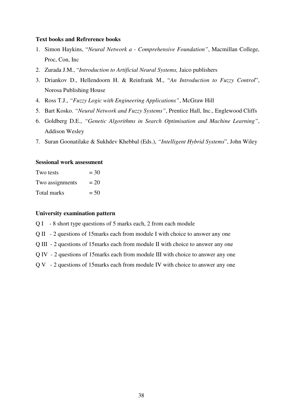#### **Text books and Refrerence books**

- 1. Simon Haykins, "*Neural Network a Comprehensive Foundation"*, Macmillan College, Proc, Con, Inc
- 2. Zurada J.M., "*Introduction to Artificial Neural Systems,* Jaico publishers
- 3. Driankov D., Hellendoorn H. & Reinfrank M., "*An Introduction to Fuzzy Control*", Norosa Publishing House
- 4. Ross T.J., *"Fuzzy Logic with Engineering Applications"*, McGraw Hill
- 5. Bart Kosko. *"Neural Network and Fuzzy Systems"*, Prentice Hall, Inc., Englewood Cliffs
- 6. Goldberg D.E., *"Genetic Algorithms in Search Optimisation and Machine Learning"*, Addison Wesley
- 7. Suran Goonatilake & Sukhdev Khebbal (Eds.), *"Intelligent Hybrid Systems*", John Wiley

#### **Sessional work assessment**

| Two tests       | $=$ 30 |
|-----------------|--------|
| Two assignments | $= 20$ |
| Total marks     | $= 50$ |

#### **University examination pattern**

Q I - 8 short type questions of 5 marks each, 2 from each module

- Q II 2 questions of 15marks each from module I with choice to answer any one
- Q III 2 questions of 15marks each from module II with choice to answer any one
- Q IV 2 questions of 15marks each from module III with choice to answer any one
- Q V 2 questions of 15marks each from module IV with choice to answer any one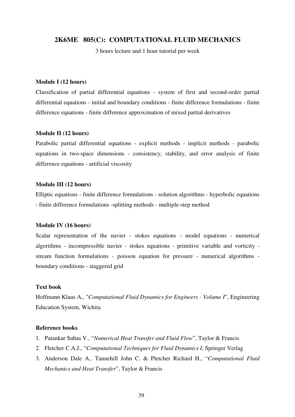# **2K6ME 805(C): COMPUTATIONAL FLUID MECHANICS**

3 hours lecture and 1 hour tutorial per week

#### **Module I (12 hours)**

Classification of partial differential equations - system of first and second-order partial differential equations - initial and boundary conditions - finite difference formulations - finite difference equations - finite difference approximation of mixed partial derivatives

#### **Module II (12 hours)**

Parabolic partial differential equations - explicit methods - implicit methods - parabolic equations in two-space dimensions - consistency, stability, and error analysis of finite difference equations - artificial viscosity

#### **Module III (12 hours)**

Elliptic equations - finite difference formulations - solution algorithms - hyperbolic equations - finite difference formulations -splitting methods - multiple-step method

#### **Module IV (16 hours)**

Scalar representation of the navier - stokes equations - model equations - numerical algorithms - incompressible navier - stokes equations - primitive variable and vorticity stream function formulations - poisson equation for pressure - numerical algorithms boundary conditions - staggered grid

#### **Text book**

Hoffmann Klaus A., "*Computational Fluid Dynamics for Engineers - Volume I*", Engineering Education System, Wichita

#### **Reference books**

- 1. Patankar Suhas V., "*Numerical Heat Transfer and Fluid Flow*", Taylor & Francis
- 2. Fletcher C.A.J., "*Computational Techniques for Fluid Dynamics I*, Springer Verlag
- 3. Anderson Dale A., Tannehill John C. & Pletcher Richard H., "*Computational Fluid Mechanics and Heat Transfer*", Taylor & Francis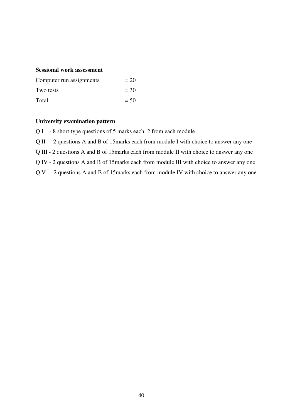# **Sessional work assessment**

| Computer run assignments | $= 20$ |
|--------------------------|--------|
| Two tests                | $= 30$ |
| Total                    | $= 50$ |

#### **University examination pattern**

Q I - 8 short type questions of 5 marks each, 2 from each module

Q II - 2 questions A and B of 15marks each from module I with choice to answer any one

Q III - 2 questions A and B of 15marks each from module II with choice to answer any one

Q IV - 2 questions A and B of 15marks each from module III with choice to answer any one

Q V - 2 questions A and B of 15marks each from module IV with choice to answer any one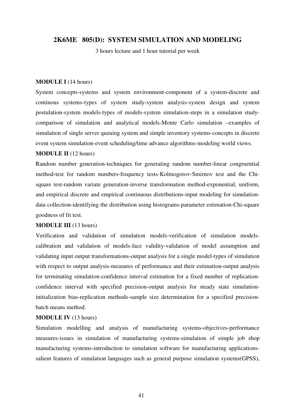# **2K6ME 805(D): SYSTEM SIMULATION AND MODELING**

3 hours lecture and 1 hour tutorial per week

#### **MODULE I** (14 hours)

System concepts-systems and system environment-component of a system-discrete and continous systems-types of system study-system analysis-system design and system postulation-system models-types of models-system simulation-steps in a simulation studycomparison of simulation and analytical models-Monte Carlo simulation –examples of simulation of single server queuing system and simple inventory systems-concepts in discrete event system simulation-event scheduling/time advance algorithms-modeling world views.

#### **MODULE II** (12 hours)

Random number generation-techniques for generating random number-linear congruential method-test for random numbers-frequency tests-Kolmogorov-Smirnov test and the Chisquare test-random variate generation-inverse transformation method-exponential, uniform, and empirical discrete and empirical continuous distributions-input modeling for simulationdata collection-identifying the distribution using histograms-parameter estimation-Chi-square goodness of fit test.

#### **MODULE III** (13 hours)

Verification and validation of simulation models-verification of simulation modelscalibration and validation of models-face validity-validation of model assumption and validating input output transformations-output analysis for a single model-types of simulation with respect to output analysis-measures of performance and their estimation-output analysis for terminating simulation-confidence interval estimation for a fixed number of replicationconfidence interval with specified precision-output analysis for steady state simulationinitialization bias-replication methods-sample size determination for a specified precisionbatch means method.

#### **MODULE IV** (13 hours)

Simulation modelling and analysis of manufacturing systems-objectives-performance measures-issues in simulation of manufacturing systems-simulation of simple job shop manufacturing systems-introduction to simulation software for manufacturing applicationssalient features of simulation languages such as general purpose simulation systems(GPSS),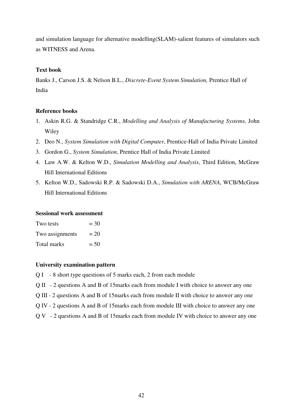and simulation language for alternative modelling(SLAM)-salient features of simulators such as WITNESS and Arena.

# **Text book**

Banks J., Carson J.S. & Nelson B.L., *Discrete-Event System Simulation,* Prentice Hall of India

# **Reference books**

- 1. Askin R.G. & Standridge C.R., *Modelling and Analysis of Manufacturing Systems,* John Wiley
- 2. Deo N., *System Simulation with Digital Computer*, Prentice-Hall of India Private Limited
- 3. Gordon G., *System Simulation*, Prentice Hall of India Private Limited
- 4. Law A.W. & Kelton W.D., *Simulation Modelling and Analysis*, Third Edition, McGraw Hill International Editions
- 5. Kelton W.D., Sadowski R.P. & Sadowski D.A., *Simulation with ARENA*, WCB/McGraw Hill International Editions

### **Sessional work assessment**

| Two tests       | $=$ 30 |
|-----------------|--------|
| Two assignments | $= 20$ |
| Total marks     | $= 50$ |

- Q I 8 short type questions of 5 marks each, 2 from each module
- Q II 2 questions A and B of 15marks each from module I with choice to answer any one
- Q III 2 questions A and B of 15marks each from module II with choice to answer any one
- Q IV 2 questions A and B of 15marks each from module III with choice to answer any one
- Q V 2 questions A and B of 15marks each from module IV with choice to answer any one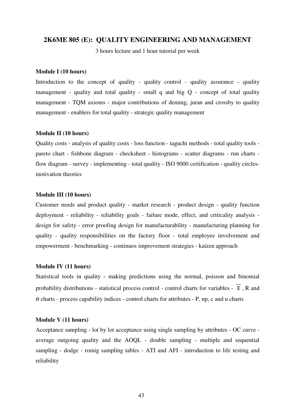#### **2K6ME 805 (E): QUALITY ENGINEERING AND MANAGEMENT**

3 hours lecture and 1 hour tutorial per week

#### **Module I (10 hours)**

Introduction to the concept of quality - quality control - quality assurance - quality management - quality and total quality - small q and big Q - concept of total quality management - TQM axioms - major contributions of deming, juran and crossby to quality management - enablers for total quality - strategic quality management

#### **Module II (10 hours)**

Quality costs - analysis of quality costs - loss function - taguchi methods - total quality tools pareto chart - fishbone diagram - checksheet - histograms - scatter diagrams - run charts flow diagram - survey - implementing - total quality - ISO 9000 certification - quality circlesmotivation theories

#### **Module III (10 hours)**

Customer needs and product quality - market research - product design - quality function deployment - reliability - reliability goals - failure mode, effect, and criticality analysis design for safety - error proofing design for manufacturability - manufacturing planning for quality - quality responsibilities on the factory floor - total employee involvement and empowerment - benchmarking - continuos improvement strategies - kaizen approach

#### **Module IV (11 hours)**

Statistical tools in quality - making predictions using the normal, poisson and binomial probability distributions - statistical process control - control charts for variables -  $\overline{X}$ . R and σ charts - process capability indices - control charts for attributes - P, np, c and u charts

#### **Module V (11 hours)**

Acceptance sampling - lot by lot acceptance using single sampling by attributes - OC curve average outgoing quality and the AOQL - double sampling - multiple and sequential sampling - dodge - romig sampling tables - ATI and AFI - introduction to life testing and reliability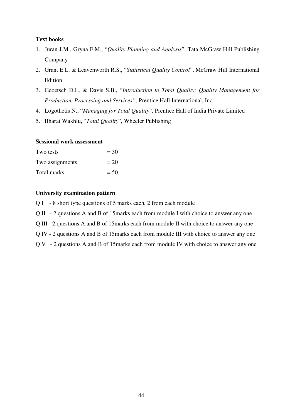#### **Text books**

- 1. Juran J.M., Gryna F.M., "*Quality Planning and Analysis*", Tata McGraw Hill Publishing Company
- 2. Grant E.L. & Leavenworth R.S., "*Statistical Quality Control*", McGraw Hill International Edition
- 3. Geoetsch D.L. & Davis S.B., "*Introduction to Total Quality: Quality Management for Production, Processing and Services",* Prentice Hall International, Inc.
- 4. Logothetis N., "*Managing for Total Quality*", Prentice Hall of India Private Limited
- 5. Bharat Wakhlu, "*Total Quality*", Wheeler Publishing

#### **Sessional work assessment**

| Two tests       | $=$ 30 |
|-----------------|--------|
| Two assignments | $= 20$ |
| Total marks     | $= 50$ |

- Q I 8 short type questions of 5 marks each, 2 from each module
- Q II 2 questions A and B of 15marks each from module I with choice to answer any one
- Q III 2 questions A and B of 15marks each from module II with choice to answer any one
- Q IV 2 questions A and B of 15marks each from module III with choice to answer any one
- Q V 2 questions A and B of 15marks each from module IV with choice to answer any one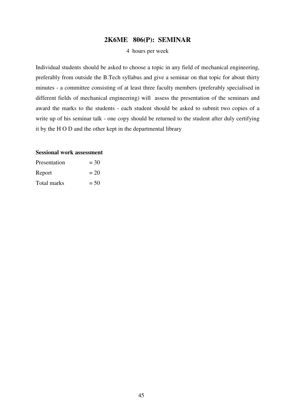# **2K6ME 806(P): SEMINAR**

#### 4 hours per week

Individual students should be asked to choose a topic in any field of mechanical engineering, preferably from outside the B.Tech syllabus and give a seminar on that topic for about thirty minutes - a committee consisting of at least three faculty members (preferably specialised in different fields of mechanical engineering) will assess the presentation of the seminars and award the marks to the students - each student should be asked to submit two copies of a write up of his seminar talk - one copy should be returned to the student after duly certifying it by the H O D and the other kept in the departmental library

| Presentation | $=$ 30 |
|--------------|--------|
| Report       | $= 20$ |
| Total marks  | $= 50$ |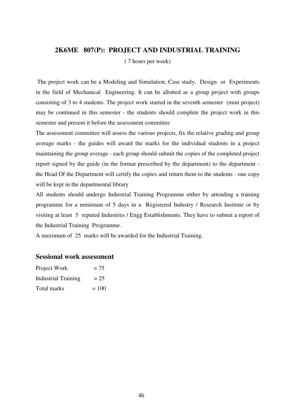# **2K6ME 807(P): PROJECT AND INDUSTRIAL TRAINING**

( 7 hours per week)

 The project work can be a Modeling and Simulation, Case study, Design or Experiments in the field of Mechanical Engineering. It can be allotted as a group project with groups consisting of 3 to 4 students. The project work started in the seventh semester (mini project) may be continued in this semester - the students should complete the project work in this semester and present it before the assessment committee

The assessment committee will assess the various projects, fix the relative grading and group average marks - the guides will award the marks for the individual students in a project maintaining the group average - each group should submit the copies of the completed project report signed by the guide (in the format prescribed by the department) to the department the Head Of the Department will certify the copies and return them to the students - one copy will be kept in the departmental library

All students should undergo Industrial Training Programme either by attending a training programme for a minimum of 5 days in a Registered Industry / Research Institute or by visiting at least 5 reputed Industries / Engg Establishments. They have to submit a report of the Industrial Training Programme.

A maximum of 25 marks will be awarded for the Industrial Training.

| Project Work               | $= 75$  |
|----------------------------|---------|
| <b>Industrial Training</b> | $= 25$  |
| Total marks                | $= 100$ |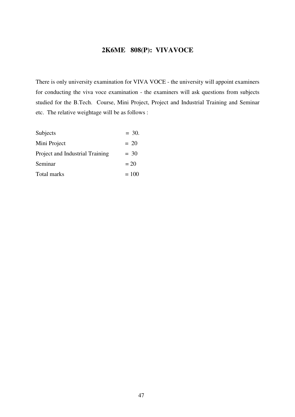# **2K6ME 808(P): VIVAVOCE**

There is only university examination for VIVA VOCE - the university will appoint examiners for conducting the viva voce examination - the examiners will ask questions from subjects studied for the B.Tech. Course, Mini Project, Project and Industrial Training and Seminar etc. The relative weightage will be as follows :

| Subjects                        | $= 30.$ |
|---------------------------------|---------|
| Mini Project                    | $= 20$  |
| Project and Industrial Training | $= 30$  |
| Seminar                         | $= 20$  |
| Total marks                     | $=100$  |
|                                 |         |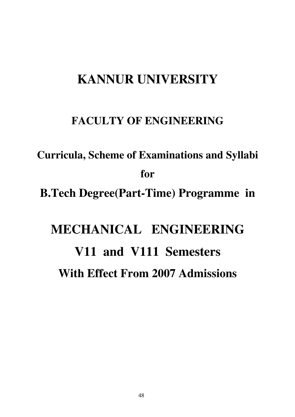# **KANNUR UNIVERSITY**

# **FACULTY OF ENGINEERING**

**Curricula, Scheme of Examinations and Syllabi for B.Tech Degree(Part-Time) Programme in** 

# **MECHANICAL ENGINEERING V11 and V111 Semesters With Effect From 2007 Admissions**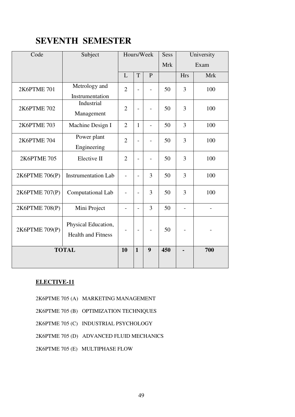# **SEVENTH SEMESTER**

| Code           | Subject                                          | Hours/Week               |                | <b>Sess</b>              |     | University     |            |      |
|----------------|--------------------------------------------------|--------------------------|----------------|--------------------------|-----|----------------|------------|------|
|                |                                                  |                          |                |                          |     | <b>Mrk</b>     |            | Exam |
|                |                                                  | L                        | T              | $\mathbf{P}$             |     | <b>Hrs</b>     | <b>Mrk</b> |      |
| 2K6PTME 701    | Metrology and<br>Instrumentation                 | $\overline{2}$           |                |                          | 50  | $\overline{3}$ | 100        |      |
| 2K6PTME 702    | Industrial<br>Management                         | $\overline{2}$           |                |                          | 50  | $\overline{3}$ | 100        |      |
| 2K6PTME 703    | Machine Design I                                 | $\overline{2}$           | $\mathbf{1}$   | $\overline{a}$           | 50  | $\overline{3}$ | 100        |      |
| 2K6PTME 704    | Power plant<br>Engineering                       | $\overline{2}$           |                |                          | 50  | 3              | 100        |      |
| 2K6PTME 705    | Elective II                                      | $\overline{2}$           |                | $\overline{\phantom{0}}$ | 50  | $\overline{3}$ | 100        |      |
| 2K6PTME 706(P) | <b>Instrumentation Lab</b>                       | $\overline{\phantom{a}}$ | $\overline{a}$ | $\overline{3}$           | 50  | $\overline{3}$ | 100        |      |
| 2K6PTME 707(P) | Computational Lab                                | $\overline{a}$           |                | 3                        | 50  | 3              | 100        |      |
| 2K6PTME 708(P) | Mini Project                                     | $\overline{\phantom{0}}$ |                | $\overline{3}$           | 50  |                |            |      |
| 2K6PTME 709(P) | Physical Education,<br><b>Health and Fitness</b> |                          |                |                          | 50  |                |            |      |
|                | <b>TOTAL</b>                                     | 10                       | $\mathbf{1}$   | $\boldsymbol{9}$         | 450 |                | 700        |      |

# **ELECTIVE-11**

- 2K6PTME 705 (A) MARKETING MANAGEMENT
- 2K6PTME 705 (B) OPTIMIZATION TECHNIQUES
- 2K6PTME 705 (C) INDUSTRIAL PSYCHOLOGY
- 2K6PTME 705 (D) ADVANCED FLUID MECHANICS
- 2K6PTME 705 (E) MULTIPHASE FLOW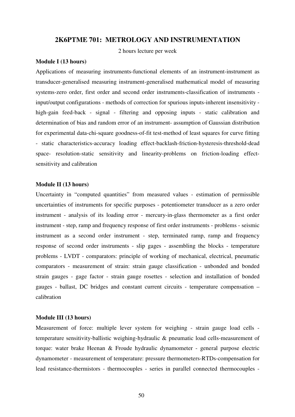# **2K6PTME 701: METROLOGY AND INSTRUMENTATION**

2 hours lecture per week

#### **Module I (13 hours)**

Applications of measuring instruments-functional elements of an instrument-instrument as transducer-generalised measuring instrument-generalised mathematical model of measuring systems-zero order, first order and second order instruments-classification of instruments input/output configurations - methods of correction for spurious inputs-inherent insensitivity high-gain feed-back - signal - filtering and opposing inputs - static calibration and determination of bias and random error of an instrument- assumption of Gaussian distribution for experimental data-chi-square goodness-of-fit test-method of least squares for curve fitting - static characteristics-accuracy loading effect-backlash-friction-hysteresis-threshold-dead space- resolution-static sensitivity and linearity-problems on friction-loading effectsensitivity and calibration

#### **Module II (13 hours)**

Uncertainty in "computed quantities" from measured values - estimation of permissible uncertainties of instruments for specific purposes - potentiometer transducer as a zero order instrument - analysis of its loading error - mercury-in-glass thermometer as a first order instrument - step, ramp and frequency response of first order instruments - problems - seismic instrument as a second order instrument - step, terminated ramp, ramp and frequency response of second order instruments - slip gages - assembling the blocks - temperature problems - LVDT - comparators: principle of working of mechanical, electrical, pneumatic comparators - measurement of strain: strain gauge classification - unbonded and bonded strain gauges - gage factor - strain gauge rosettes - selection and installation of bonded gauges - ballast, DC bridges and constant current circuits - temperature compensation – calibration

#### **Module III (13 hours)**

Measurement of force: multiple lever system for weighing - strain gauge load cells temperature sensitivity-ballistic weighing-hydraulic & pneumatic load cells-measurement of torque: water brake Heenan & Froude hydraulic dynamometer - general purpose electric dynamometer - measurement of temperature: pressure thermometers-RTDs-compensation for lead resistance-thermistors - thermocouples - series in parallel connected thermocouples -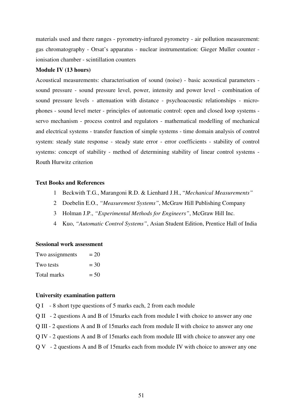materials used and there ranges - pyrometry-infrared pyrometry - air pollution measurement: gas chromatography - Orsat's apparatus - nuclear instrumentation: Gieger Muller counter ionisation chamber - scintillation counters

#### **Module IV (13 hours)**

Acoustical measurements: characterisation of sound (noise) - basic acoustical parameters sound pressure - sound pressure level, power, intensity and power level - combination of sound pressure levels - attenuation with distance - psychoacoustic relationships - microphones - sound level meter - principles of automatic control: open and closed loop systems servo mechanism - process control and regulators - mathematical modelling of mechanical and electrical systems - transfer function of simple systems - time domain analysis of control system: steady state response - steady state error - error coefficients - stability of control systems: concept of stability - method of determining stability of linear control systems - Routh Hurwitz criterion

## **Text Books and References**

- 1 Beckwith T.G., Marangoni R.D. & Lienhard J.H., "*Mechanical Measurements"*
- 2 Doebelin E.O., *"Measurement Systems"*, McGraw Hill Publishing Company
- 3 Holman J.P., *"Experimental Methods for Engineers"*, McGraw Hill Inc.
- 4 Kuo, *"Automatic Control Systems"*, Asian Student Edition, Prentice Hall of India

#### **Sessional work assessment**

| Two assignments | $= 20$ |
|-----------------|--------|
| Two tests       | $=$ 30 |
| Total marks     | $= 50$ |

- Q I 8 short type questions of 5 marks each, 2 from each module
- Q II 2 questions A and B of 15marks each from module I with choice to answer any one
- Q III 2 questions A and B of 15marks each from module II with choice to answer any one
- Q IV 2 questions A and B of 15marks each from module III with choice to answer any one
- Q V 2 questions A and B of 15marks each from module IV with choice to answer any one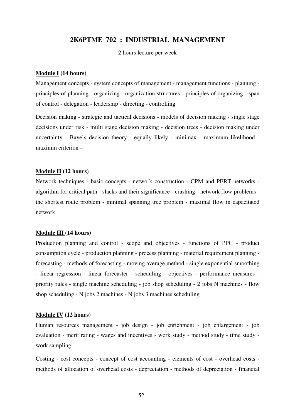# **2K6PTME 702 : INDUSTRIAL MANAGEMENT**

2 hours lecture per week

#### **Module I (14 hours)**

Management concepts - system concepts of management - management functions - planning principles of planning - organizing - organization structures - principles of organizing - span of control - delegation - leadership - directing - controlling

Decision making - strategic and tactical decisions - models of decision making - single stage decisions under risk - multi stage decision making - decision trees - decision making under uncertainty - Baye's decision theory - equally likely - minimax - maximum likelihood maximin criterion –

# **Module II (12 hours)**

Network techniques - basic concepts - network construction - CPM and PERT networks algorithm for critical path - slacks and their significance - crashing - network flow problems the shortest route problem - minimal spanning tree problem - maximal flow in capacitated network

#### **Module III (14 hours)**

Production planning and control - scope and objectives - functions of PPC - product consumption cycle - production planning - process planning - material requirement planning forecasting - methods of forecasting - moving average method - single exponential smoothing - linear regression - linear forecaster - scheduling - objectives - performance measures priority rules - single machine scheduling - job shop scheduling - 2 jobs N machines - flow shop scheduling - N jobs 2 machines - N jobs 3 machines scheduling

#### **Module IV (12 hours)**

Human resources management - job design - job enrichment - job enlargement - job evaluation - merit rating - wages and incentives - work study - method study - time study work sampling.

Costing - cost concepts - concept of cost accounting - elements of cost - overhead costs methods of allocation of overhead costs - depreciation - methods of depreciation - financial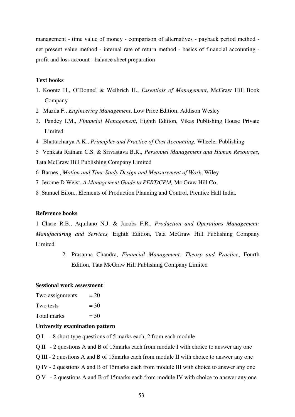management - time value of money - comparison of alternatives - payback period method net present value method - internal rate of return method - basics of financial accounting profit and loss account - balance sheet preparation

#### **Text books**

- 1. Koontz H., O'Donnel & Weihrich H., *Essentials of Management*, McGraw Hill Book Company
- 2 Mazda F., *Engineering Management*, Low Price Edition, Addison Wesley
- 3. Pandey I.M., *Financial Management*, Eighth Edition, Vikas Publishing House Private Limited
- 4 Bhattacharya A.K., *Principles and Practice of Cost Accounting,* Wheeler Publishing
- 5 Venkata Ratnam C.S. & Srivastava B.K., *Personnel Management and Human Resources*,

Tata McGraw Hill Publishing Company Limited

- 6 Barnes., *Motion and Time Study Design and Measurement of Work*, Wiley
- 7 Jerome D Weist, *A Management Guide to PERT/CPM,* Mc.Graw Hill Co.
- 8 Samuel Eilon., Elements of Production Planning and Control, Prentice Hall India.

#### **Reference books**

1 Chase R.B., Aquilano N.J. & Jacobs F.R., *Production and Operations Management: Manufacturing and Services,* Eighth Edition, Tata McGraw Hill Publishing Company Limited

> 2 Prasanna Chandra, *Financial Management: Theory and Practice*, Fourth Edition, Tata McGraw Hill Publishing Company Limited

### **Sessional work assessment**

| Two assignments | $= 20$ |
|-----------------|--------|
| Two tests       | $=$ 30 |
| Total marks     | $= 50$ |
|                 |        |

- Q I 8 short type questions of 5 marks each, 2 from each module
- Q II 2 questions A and B of 15marks each from module I with choice to answer any one
- Q III 2 questions A and B of 15marks each from module II with choice to answer any one
- Q IV 2 questions A and B of 15marks each from module III with choice to answer any one
- Q V 2 questions A and B of 15marks each from module IV with choice to answer any one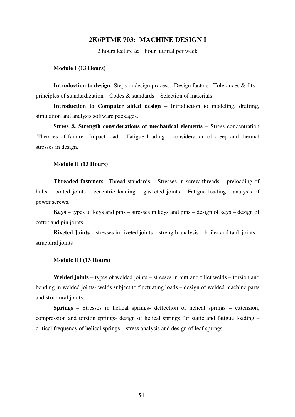# **2K6PTME 703: MACHINE DESIGN I**

2 hours lecture & 1 hour tutorial per week

#### **Module I (13 Hours)**

**Introduction to design**- Steps in design process –Design factors –Tolerances & fits – principles of standardization – Codes & standards – Selection of materials

**Introduction to Computer aided design** – Introduction to modeling, drafting, simulation and analysis software packages.

**Stress & Strength considerations of mechanical elements** – Stress concentration Theories of failure –Impact load – Fatigue loading – consideration of creep and thermal stresses in design.

#### **Module II (13 Hours)**

**Threaded fasteners** –Thread standards – Stresses in screw threads – preloading of bolts – bolted joints – eccentric loading – gasketed joints – Fatigue loading - analysis of power screws.

**Keys** – types of keys and pins – stresses in keys and pins – design of keys – design of cotter and pin joints

**Riveted Joints** – stresses in riveted joints – strength analysis – boiler and tank joints – structural joints

#### **Module III (13 Hours)**

**Welded joints** – types of welded joints – stresses in butt and fillet welds – torsion and bending in welded joints- welds subject to fluctuating loads – design of welded machine parts and structural joints.

**Springs** – Stresses in helical springs- deflection of helical springs – extension, compression and torsion springs- design of helical springs for static and fatigue loading – critical frequency of helical springs – stress analysis and design of leaf springs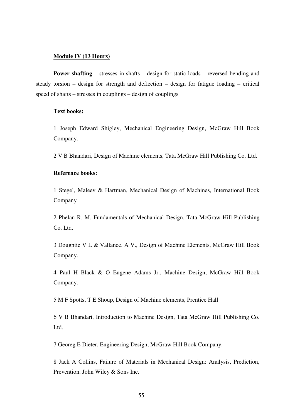#### **Module IV (13 Hours)**

**Power shafting** – stresses in shafts – design for static loads – reversed bending and steady torsion – design for strength and deflection – design for fatigue loading – critical speed of shafts – stresses in couplings – design of couplings

#### **Text books:**

1 Joseph Edward Shigley, Mechanical Engineering Design, McGraw Hill Book Company.

2 V B Bhandari, Design of Machine elements, Tata McGraw Hill Publishing Co. Ltd.

# **Reference books:**

1 Stegel, Maleev & Hartman, Mechanical Design of Machines, International Book Company

2 Phelan R. M, Fundamentals of Mechanical Design, Tata McGraw Hill Publishing Co. Ltd.

3 Doughtie V L & Vallance. A V., Design of Machine Elements, McGraw Hill Book Company.

4 Paul H Black & O Eugene Adams Jr., Machine Design, McGraw Hill Book Company.

5 M F Spotts, T E Shoup, Design of Machine elements, Prentice Hall

6 V B Bhandari, Introduction to Machine Design, Tata McGraw Hill Publishing Co. Ltd.

7 Georeg E Dieter, Engineering Design, McGraw Hill Book Company.

8 Jack A Collins, Failure of Materials in Mechanical Design: Analysis, Prediction, Prevention. John Wiley & Sons Inc.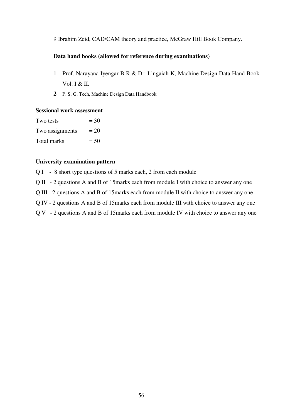9 Ibrahim Zeid, CAD/CAM theory and practice, McGraw Hill Book Company.

## **Data hand books (allowed for reference during examinations)**

- 1 Prof. Narayana Iyengar B R & Dr. Lingaiah K, Machine Design Data Hand Book Vol. I & II.
- **2** P. S. G. Tech, Machine Design Data Handbook

#### **Sessional work assessment**

| Two tests       | $=$ 30 |
|-----------------|--------|
| Two assignments | $= 20$ |
| Total marks     | $= 50$ |

# **University examination pattern**

Q I - 8 short type questions of 5 marks each, 2 from each module

Q II - 2 questions A and B of 15marks each from module I with choice to answer any one

Q III - 2 questions A and B of 15marks each from module II with choice to answer any one

Q IV - 2 questions A and B of 15marks each from module III with choice to answer any one

Q V - 2 questions A and B of 15marks each from module IV with choice to answer any one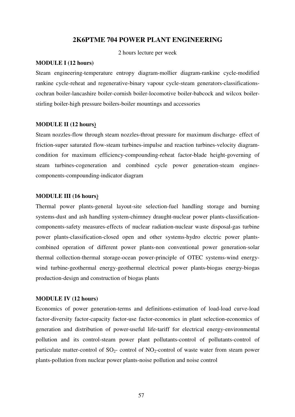#### **2K6PTME 704 POWER PLANT ENGINEERING**

2 hours lecture per week

#### **MODULE I (12 hours)**

Steam engineering-temperature entropy diagram-mollier diagram-rankine cycle-modified rankine cycle-reheat and regenerative-binary vapour cycle-steam generators-classificationscochran boiler-lancashire boiler-cornish boiler-locomotive boiler-babcock and wilcox boilerstirling boiler-high pressure boilers-boiler mountings and accessories

#### **MODULE II (12 hours)**

Steam nozzles-flow through steam nozzles-throat pressure for maximum discharge- effect of friction-super saturated flow-steam turbines-impulse and reaction turbines-velocity diagramcondition for maximum efficiency-compounding-reheat factor-blade height-governing of steam turbines-cogeneration and combined cycle power generation-steam enginescomponents-compounding-indicator diagram

#### **MODULE III (16 hours)**

Thermal power plants-general layout-site selection-fuel handling storage and burning systems-dust and ash handling system-chimney draught-nuclear power plants-classificationcomponents-safety measures-effects of nuclear radiation-nuclear waste disposal-gas turbine power plants-classification-closed open and other systems-hydro electric power plantscombined operation of different power plants-non conventional power generation-solar thermal collection-thermal storage-ocean power-principle of OTEC systems-wind energywind turbine-geothermal energy-geothermal electrical power plants-biogas energy-biogas production-design and construction of biogas plants

#### **MODULE IV (12 hours)**

Economics of power generation-terms and definitions-estimation of load-load curve-load factor-diversity factor-capacity factor-use factor-economics in plant selection-economics of generation and distribution of power-useful life-tariff for electrical energy-environmental pollution and its control-steam power plant pollutants-control of pollutants-control of particulate matter-control of  $SO_2$ - control of NO<sub>2</sub>-control of waste water from steam power plants-pollution from nuclear power plants-noise pollution and noise control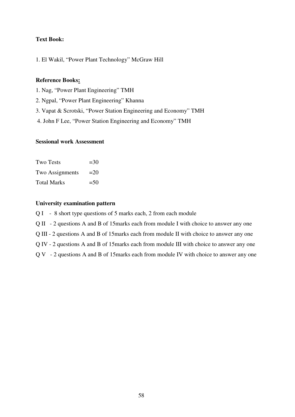# **Text Book:**

1. El Wakil, "Power Plant Technology" McGraw Hill

# **Reference Books:**

- 1. Nag, "Power Plant Engineering" TMH
- 2. Ngpal, "Power Plant Engineering" Khanna
- 3. Vapat & Scrotski, "Power Station Engineering and Economy" TMH
- 4. John F Lee, "Power Station Engineering and Economy" TMH

# **Sessional work Assessment**

| <b>Two Tests</b>   | $=30$  |
|--------------------|--------|
| Two Assignments    | $=20$  |
| <b>Total Marks</b> | $= 50$ |

- Q I 8 short type questions of 5 marks each, 2 from each module
- Q II 2 questions A and B of 15marks each from module I with choice to answer any one
- Q III 2 questions A and B of 15marks each from module II with choice to answer any one
- Q IV 2 questions A and B of 15marks each from module III with choice to answer any one
- Q V 2 questions A and B of 15marks each from module IV with choice to answer any one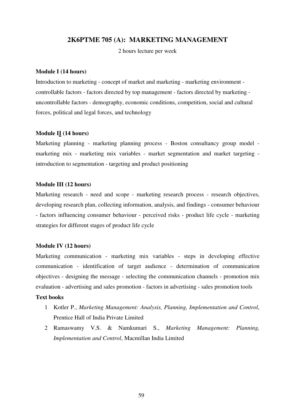# **2K6PTME 705 (A): MARKETING MANAGEMENT**

2 hours lecture per week

#### **Module I (14 hours)**

Introduction to marketing - concept of market and marketing - marketing environment controllable factors - factors directed by top management - factors directed by marketing uncontrollable factors - demography, economic conditions, competition, social and cultural forces, political and legal forces, and technology

#### **Module II (14 hours)**

Marketing planning - marketing planning process - Boston consultancy group model marketing mix - marketing mix variables - market segmentation and market targeting introduction to segmentation - targeting and product positioning

#### **Module III (12 hours)**

Marketing research - need and scope - marketing research process - research objectives, developing research plan, collecting information, analysis, and findings - consumer behaviour - factors influencing consumer behaviour - perceived risks - product life cycle - marketing strategies for different stages of product life cycle

#### **Module IV (12 hours)**

Marketing communication - marketing mix variables - steps in developing effective communication - identification of target audience - determination of communication objectives - designing the message - selecting the communication channels - promotion mix evaluation - advertising and sales promotion - factors in advertising - sales promotion tools

#### **Text books**

- 1 Kotler P., *Marketing Management: Analysis, Planning, Implementation and Control*, Prentice Hall of India Private Limited
- 2 Ramaswamy V.S. & Namkumari S., *Marketing Management: Planning, Implementation and Control*, Macmillan India Limited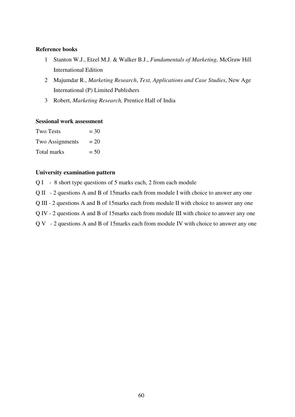## **Reference books**

- 1 Stanton W.J., Etzel M.J. & Walker B.J., *Fundamentals of Marketing,* McGraw Hill International Edition
- 2 Majumdar R., *Marketing Research*, *Text, Applications and Case Studies*, New Age International (P) Limited Publishers
- 3 Robert, *Marketing Research,* Prentice Hall of India

#### **Sessional work assessment**

| <b>Two Tests</b> | $=$ 30 |
|------------------|--------|
| Two Assignments  | $= 20$ |
| Total marks      | $= 50$ |

# **University examination pattern**

Q I - 8 short type questions of 5 marks each, 2 from each module

Q II - 2 questions A and B of 15marks each from module I with choice to answer any one

Q III - 2 questions A and B of 15marks each from module II with choice to answer any one

Q IV - 2 questions A and B of 15marks each from module III with choice to answer any one

Q V - 2 questions A and B of 15marks each from module IV with choice to answer any one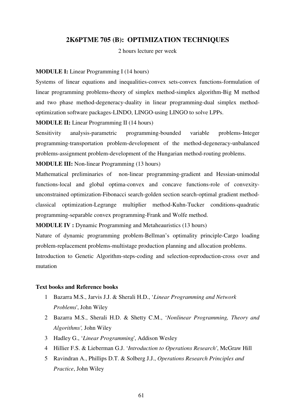# **2K6PTME 705 (B): OPTIMIZATION TECHNIQUES**

2 hours lecture per week

#### **MODULE I:** Linear Programming I (14 hours)

Systems of linear equations and inequalities-convex sets-convex functions-formulation of linear programming problems-theory of simplex method-simplex algorithm-Big M method and two phase method-degeneracy-duality in linear programming-dual simplex methodoptimization software packages-LINDO, LINGO-using LINGO to solve LPPs.

**MODULE II:** Linear Programming II (14 hours)

Sensitivity analysis-parametric programming-bounded variable problems-Integer programming-transportation problem-development of the method-degeneracy-unbalanced problems-assignment problem-development of the Hungarian method-routing problems.

#### **MODULE III:** Non-linear Programming (13 hours)

Mathematical preliminaries of non-linear programming-gradient and Hessian-unimodal functions-local and global optima-convex and concave functions-role of convexityunconstrained optimization-Fibonacci search-golden section search-optimal gradient methodclassical optimization-Legrange multiplier method-Kuhn-Tucker conditions-quadratic programming-separable convex programming-Frank and Wolfe method.

**MODULE IV :** Dynamic Programming and Metaheauristics (13 hours)

Nature of dynamic programming problem-Bellman's optimality principle-Cargo loading problem-replacement problems-multistage production planning and allocation problems.

Introduction to Genetic Algorithm-steps-coding and selection-reproduction-cross over and mutation

#### **Text books and Reference books**

- 1 Bazarra M.S., Jarvis J.J. & Sherali H.D., '*Linear Programming and Network Problems*', John Wiley
- 2 Bazarra M.S., Sherali H.D. & Shetty C.M., '*Nonlinear Programming, Theory and Algorithms',* John Wiley
- 3 Hadley G., '*Linear Programming*', Addison Wesley
- 4 Hillier F.S. & Lieberman G.J. '*Introduction to Operations Research'*, McGraw Hill
- 5 Ravindran A., Phillips D.T. & Solberg J.J., *Operations Research Principles and Practice*, John Wiley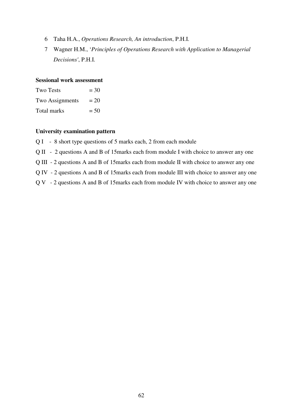- 6 Taha H.A., *Operations Research, An introduction*, P.H.I.
- 7 Wagner H.M., '*Principles of Operations Research with Application to Managerial Decisions'*, P.H.I.

#### **Sessional work assessment**

| <b>Two Tests</b> | $=$ 30 |
|------------------|--------|
| Two Assignments  | $= 20$ |
| Total marks      | $= 50$ |

- Q I 8 short type questions of 5 marks each, 2 from each module
- Q II 2 questions A and B of 15marks each from module I with choice to answer any one
- Q III 2 questions A and B of 15marks each from module II with choice to answer any one
- Q IV 2 questions A and B of 15marks each from module III with choice to answer any one
- Q V 2 questions A and B of 15marks each from module IV with choice to answer any one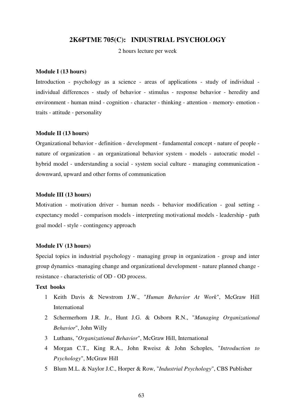# **2K6PTME 705(C): INDUSTRIAL PSYCHOLOGY**

2 hours lecture per week

#### **Module I (13 hours)**

Introduction - psychology as a science - areas of applications - study of individual individual differences - study of behavior - stimulus - response behavior - heredity and environment - human mind - cognition - character - thinking - attention - memory- emotion traits - attitude - personality

#### **Module II (13 hours)**

Organizational behavior - definition - development - fundamental concept - nature of people nature of organization - an organizational behavior system - models - autocratic model hybrid model - understanding a social - system social culture - managing communication downward, upward and other forms of communication

#### **Module III (13 hours)**

Motivation - motivation driver - human needs - behavior modification - goal setting expectancy model - comparison models - interpreting motivational models - leadership - path goal model - style - contingency approach

#### **Module IV (13 hours)**

Special topics in industrial psychology - managing group in organization - group and inter group dynamics -managing change and organizational development - nature planned change resistance - characteristic of OD - OD process.

#### **Text books**

- 1 Keith Davis & Newstrom J.W., "*Human Behavior At Work*", McGraw Hill International
- 2 Schermerhorn J.R. Jr., Hunt J.G. & Osborn R.N., "*Managing Organizational Behavior*", John Willy
- 3 Luthans, "*Organizational Behavior*", McGraw Hill, International
- 4 Morgan C.T., King R.A., John Rweisz & John Schoples, "*Introduction to Psychology*", McGraw Hill
- 5 Blum M.L. & Naylor J.C., Horper & Row, "*Industrial Psychology*", CBS Publisher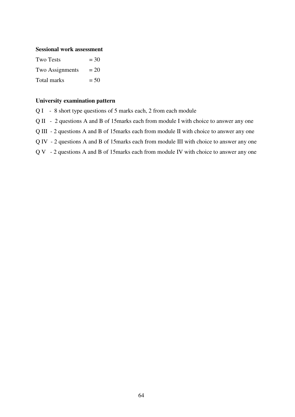#### **Sessional work assessment**

| Two Tests       | $=$ 30 |
|-----------------|--------|
| Two Assignments | $= 20$ |
| Total marks     | $= 50$ |

- Q I 8 short type questions of 5 marks each, 2 from each module
- Q II 2 questions A and B of 15marks each from module I with choice to answer any one
- Q III 2 questions A and B of 15marks each from module II with choice to answer any one
- Q IV 2 questions A and B of 15marks each from module III with choice to answer any one
- Q V 2 questions A and B of 15marks each from module IV with choice to answer any one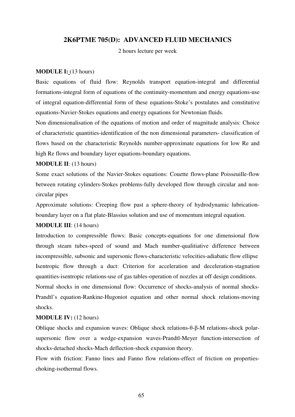# **2K6PTME 705(D): ADVANCED FLUID MECHANICS**

2 hours lecture per week

#### **MODULE I:** (13 hours)

Basic equations of fluid flow: Reynolds transport equation-integral and differential formations-integral form of equations of the continuity-momentum and energy equations-use of integral equation-differential form of these equations-Stoke's postulates and constitutive equations-Navier-Stokes equations and energy equations for Newtonian fluids.

Non dimensionalisation of the equations of motion and order of magnitude analysis: Choice of characteristic quantities-identification of the non dimensional parameters- classification of flows based on the characteristic Reynolds number-approximate equations for low Re and high Re flows and boundary layer equations-boundary equations.

#### **MODULE II**: (13 hours)

Some exact solutions of the Navier-Stokes equations: Couette flows-plane Poisseuille-flow between rotating cylinders-Stokes problems-fully developed flow through circular and noncircular pipes

Approximate solutions: Creeping flow past a sphere-theory of hydrodynamic lubricationboundary layer on a flat plate-Blassius solution and use of momentum integral equation.

# **MODULE III**: (14 hours)

Introduction to compressible flows: Basic concepts-equations for one dimensional flow through steam tubes-speed of sound and Mach number-qualitiative difference between incompressible, subsonic and supersonic flows-characteristic velocities-adiabatic flow ellipse Isentropic flow through a duct: Criterion for acceleration and deceleration-stagnation quantities-isentropic relations-use of gas tables-operation of nozzles at off design conditions. Normal shocks in one dimensional flow: Occurrence of shocks-analysis of normal shocks-Prandtl's equation-Rankine-Hugoniot equation and other normal shock relations-moving shocks.

#### **MODULE IV:** (12 hours)

Oblique shocks and expansion waves: Oblique shock relations-θ-β-M relations-shock polarsupersonic flow over a wedge-expansion waves-Prandtl-Meyer function-intersection of shocks-detached shocks-Mach deflection-shock expansion theory.

Flow with friction: Fanno lines and Fanno flow relations-effect of friction on propertieschoking-isothermal flows.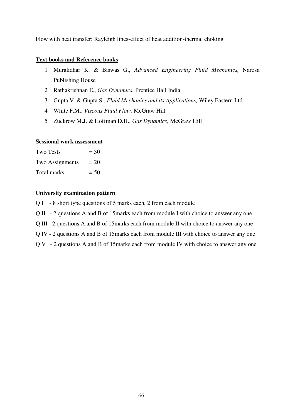Flow with heat transfer: Rayleigh lines-effect of heat addition-thermal choking

#### **Text books and Reference books**

- 1 Muralidhar K. & Biswas G., *Advanced Engineering Fluid Mechanics,* Narosa Publishing House
- 2 Rathakrishnan E., *Gas Dynamics*, Prentice Hall India
- 3 Gupta V. & Gupta S., *Fluid Mechanics and its Applications,* Wiley Eastern Ltd.
- 4 White F.M., *Viscous Fluid Flow,* McGraw Hill
- 5 Zuckrow M.J. & Hoffman D.H., *Gas Dynamics*, McGraw Hill

# **Sessional work assessment**

| <b>Two Tests</b> | $=$ 30 |
|------------------|--------|
| Two Assignments  | $= 20$ |
| Total marks      | $= 50$ |

- Q I 8 short type questions of 5 marks each, 2 from each module
- Q II 2 questions A and B of 15marks each from module I with choice to answer any one
- Q III 2 questions A and B of 15marks each from module II with choice to answer any one
- Q IV 2 questions A and B of 15marks each from module III with choice to answer any one
- Q V 2 questions A and B of 15marks each from module IV with choice to answer any one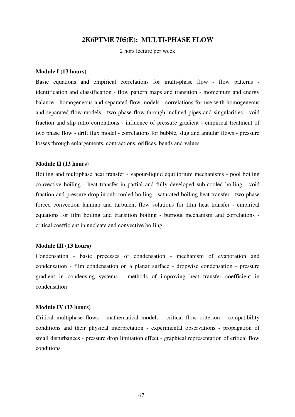# **2K6PTME 705(E): MULTI-PHASE FLOW**

2 hors lecture per week

#### **Module I (13 hours)**

Basic equations and empirical correlations for multi-phase flow - flow patterns identification and classification - flow pattern maps and transition - momentum and energy balance - homogeneous and separated flow models - correlations for use with homogeneous and separated flow models - two phase flow through inclined pipes and singularities - void fraction and slip ratio correlations - influence of pressure gradient - empirical treatment of two phase flow - drift flux model - correlations for bubble, slug and annular flows - pressure losses through enlargements, contractions, orifices, bends and values

#### **Module II (13 hours)**

Boiling and multiphase heat transfer - vapour-liquid equilibrium mechanisms - pool boiling convective boiling - heat transfer in partial and fully developed sub-cooled boiling - void fraction and pressure drop in sub-cooled boiling - saturated boiling heat transfer - two phase forced convection laminar and turbulent flow solutions for film heat transfer - empirical equations for film boiling and transition boiling - burnout mechanism and correlations critical coefficient in nucleate and convective boiling

#### **Module III (13 hours)**

Condensation - basic processes of condensation - mechanism of evaporation and condensation - film condensation on a planar surface - dropwise condensation - pressure gradient in condensing systems - methods of improving heat transfer coefficient in condensation

#### **Module IV (13 hours)**

Critical multiphase flows - mathematical models - critical flow criterion - compatibility conditions and their physical interpretation - experimental observations - propagation of small disturbances - pressure drop limitation effect - graphical representation of critical flow conditions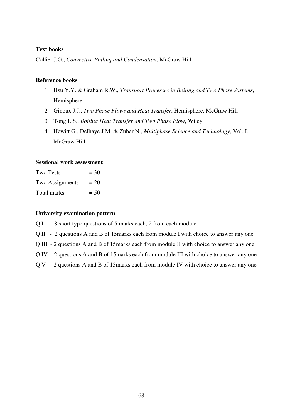# **Text books**

Collier J.G., *Convective Boiling and Condensation,* McGraw Hill

### **Reference books**

- 1 Hsu Y.Y. & Graham R.W., *Transport Processes in Boiling and Two Phase Systems*, Hemisphere
- 2 Ginoux J.J., *Two Phase Flows and Heat Transfer*, Hemisphere, McGraw Hill
- 3 Tong L.S., *Boiling Heat Transfer and Two Phase Flow*, Wiley
- 4 Hewitt G., Delhaye J.M. & Zuber N., *Multiphase Science and Technology*, Vol. I., McGraw Hill

#### **Sessional work assessment**

| <b>Two Tests</b> | $=$ 30 |
|------------------|--------|
| Two Assignments  | $= 20$ |
| Total marks      | $= 50$ |

#### **University examination pattern**

Q I - 8 short type questions of 5 marks each, 2 from each module

Q II - 2 questions A and B of 15marks each from module I with choice to answer any one

Q III - 2 questions A and B of 15marks each from module II with choice to answer any one

Q IV - 2 questions A and B of 15marks each from module III with choice to answer any one

Q V - 2 questions A and B of 15marks each from module IV with choice to answer any one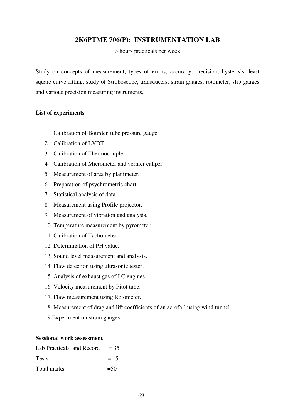# **2K6PTME 706(P): INSTRUMENTATION LAB**

3 hours practicals per week

Study on concepts of measurement, types of errors, accuracy, precision, hysterisis, least square curve fitting, study of Stroboscope, transducers, strain gauges, rotometer, slip gauges and various precision measuring instruments.

#### **List of experiments**

- 1 Calibration of Bourden tube pressure gauge.
- 2 Calibration of LVDT.
- 3 Calibration of Thermocouple.
- 4 Calibration of Micrometer and vernier caliper.
- 5 Measurement of area by planimeter.
- 6 Preparation of psychrometric chart.
- 7 Statistical analysis of data.
- 8 Measurement using Profile projector.
- 9 Measurement of vibration and analysis.
- 10 Temperature measurement by pyrometer.
- 11 Calibration of Tachometer.
- 12 Determination of PH value.
- 13 Sound level measurement and analysis.
- 14 Flaw detection using ultrasonic tester.
- 15 Analysis of exhaust gas of I C engines.
- 16 Velocity measurement by Pitot tube.
- 17. Flaw measurement using Rotometer.
- 18. Measurement of drag and lift coefficients of an aerofoil using wind tunnel.
- 19.Experiment on strain gauges.

| Lab Practicals and Record $= 35$ |        |
|----------------------------------|--------|
| <b>Tests</b>                     | $= 15$ |
| Total marks                      | $= 50$ |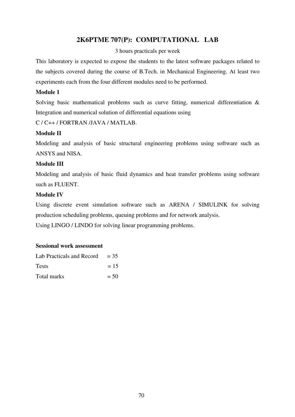# **2K6PTME 707(P): COMPUTATIONAL LAB**

# 3 hours practicals per week

This laboratory is expected to expose the students to the latest software packages related to the subjects covered during the course of B.Tech. in Mechanical Engineering. At least two experiments each from the four different modules need to be performed.

# **Module 1**

Solving basic mathematical problems such as curve fitting, numerical differentiation & Integration and numerical solution of differential equations using

C / C++ / FORTRAN /JAVA / MATLAB.

# **Module II**

Modeling and analysis of basic structural engineering problems using software such as ANSYS and NISA.

# **Module III**

Modeling and analysis of basic fluid dynamics and heat transfer problems using software such as FLUENT.

# **Module IV**

Using discrete event simulation software such as ARENA / SIMULINK for solving production scheduling problems, queuing problems and for network analysis.

Using LINGO / LINDO for solving linear programming problems.

| Lab Practicals and Record | $= 35$ |
|---------------------------|--------|
| <b>Tests</b>              | $= 15$ |
| Total marks               | $= 50$ |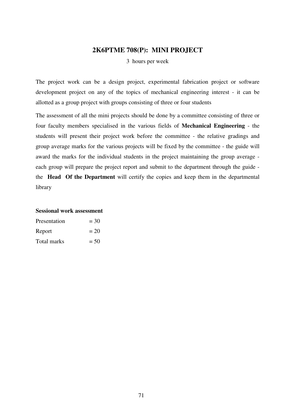# **2K6PTME 708(P): MINI PROJECT**

3 hours per week

The project work can be a design project, experimental fabrication project or software development project on any of the topics of mechanical engineering interest - it can be allotted as a group project with groups consisting of three or four students

The assessment of all the mini projects should be done by a committee consisting of three or four faculty members specialised in the various fields of **Mechanical Engineering** - the students will present their project work before the committee - the relative gradings and group average marks for the various projects will be fixed by the committee - the guide will award the marks for the individual students in the project maintaining the group average each group will prepare the project report and submit to the department through the guide the **Head Of the Department** will certify the copies and keep them in the departmental library

| Presentation | $=$ 30 |
|--------------|--------|
| Report       | $= 20$ |
| Total marks  | $= 50$ |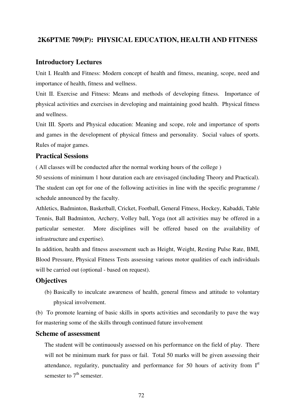# **2K6PTME 709(P): PHYSICAL EDUCATION, HEALTH AND FITNESS**

### **Introductory Lectures**

Unit I. Health and Fitness: Modern concept of health and fitness, meaning, scope, need and importance of health, fitness and wellness.

Unit II. Exercise and Fitness: Means and methods of developing fitness. Importance of physical activities and exercises in developing and maintaining good health. Physical fitness and wellness.

Unit III. Sports and Physical education: Meaning and scope, role and importance of sports and games in the development of physical fitness and personality. Social values of sports. Rules of major games.

# **Practical Sessions**

( All classes will be conducted after the normal working hours of the college )

50 sessions of minimum 1 hour duration each are envisaged (including Theory and Practical). The student can opt for one of the following activities in line with the specific programme / schedule announced by the faculty.

Athletics, Badminton, Basketball, Cricket, Football, General Fitness, Hockey, Kabaddi, Table Tennis, Ball Badminton, Archery, Volley ball, Yoga (not all activities may be offered in a particular semester. More disciplines will be offered based on the availability of infrastructure and expertise).

In addition, health and fitness assessment such as Height, Weight, Resting Pulse Rate, BMI, Blood Pressure, Physical Fitness Tests assessing various motor qualities of each individuals will be carried out (optional - based on request).

#### **Objectives**

(b) Basically to inculcate awareness of health, general fitness and attitude to voluntary physical involvement.

(b) To promote learning of basic skills in sports activities and secondarily to pave the way for mastering some of the skills through continued future involvement

# **Scheme of assessment**

The student will be continuously assessed on his performance on the field of play. There will not be minimum mark for pass or fail. Total 50 marks will be given assessing their attendance, regularity, punctuality and performance for 50 hours of activity from  $I<sup>st</sup>$ semester to  $7<sup>th</sup>$  semester.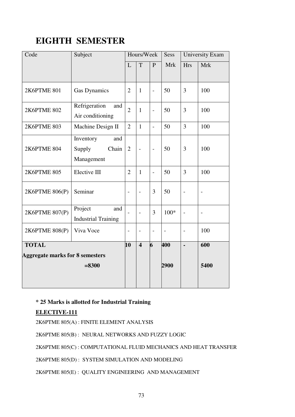# **EIGHTH SEMESTER**

| Code                                   | Subject<br>Hours/Week      |                          | Sess                     | <b>University Exam</b>   |            |                          |                          |
|----------------------------------------|----------------------------|--------------------------|--------------------------|--------------------------|------------|--------------------------|--------------------------|
|                                        |                            | L                        | T                        | P                        | <b>Mrk</b> | <b>Hrs</b>               | <b>Mrk</b>               |
|                                        |                            |                          |                          |                          |            |                          |                          |
| 2K6PTME 801                            | <b>Gas Dynamics</b>        | $\overline{2}$           | $\mathbf{1}$             | $\overline{a}$           | 50         | 3                        | 100                      |
| <b>2K6PTME 802</b>                     | Refrigeration<br>and       | $\overline{2}$           | $\mathbf{1}$             | $\overline{a}$           | 50         | $\overline{3}$           | 100                      |
|                                        | Air conditioning           |                          |                          |                          |            |                          |                          |
| <b>2K6PTME 803</b>                     | Machine Design II          | $\overline{2}$           | $\mathbf{1}$             | $\overline{a}$           | 50         | 3                        | 100                      |
|                                        | Inventory<br>and           |                          |                          |                          |            |                          |                          |
| 2K6PTME 804                            | Supply<br>Chain            | $\overline{2}$           | $\overline{a}$           | $\overline{a}$           | 50         | 3                        | 100                      |
|                                        | Management                 |                          |                          |                          |            |                          |                          |
| <b>2K6PTME 805</b>                     | Elective III               | $\overline{2}$           | $\mathbf{1}$             | $\overline{a}$           | 50         | 3                        | 100                      |
| 2K6PTME 806(P)                         | Seminar                    |                          | $\overline{\phantom{0}}$ | 3                        | 50         |                          |                          |
| 2K6PTME 807(P)                         | Project<br>and             |                          | $\overline{a}$           | 3                        | $100*$     | $\overline{\phantom{0}}$ | $\overline{\phantom{0}}$ |
|                                        | <b>Industrial Training</b> |                          |                          |                          |            |                          |                          |
| 2K6PTME 808(P)                         | Viva Voce                  | $\overline{\phantom{0}}$ | -                        | $\overline{\phantom{0}}$ |            | -                        | 100                      |
| <b>TOTAL</b>                           |                            | 10                       | $\overline{\mathbf{4}}$  | 6                        | 400        | $\overline{a}$           | 600                      |
| <b>Aggregate marks for 8 semesters</b> |                            |                          |                          |                          |            |                          |                          |
| $= 8300$                               |                            |                          |                          |                          | 2900       |                          | 5400                     |
|                                        |                            |                          |                          |                          |            |                          |                          |
|                                        |                            |                          |                          |                          |            |                          |                          |

# **\* 25 Marks is allotted for Industrial Training**

# **ELECTIVE-111**

2K6PTME 805(A) : FINITE ELEMENT ANALYSIS

2K6PTME 805(B) : NEURAL NETWORKS AND FUZZY LOGIC

2K6PTME 805(C) : COMPUTATIONAL FLUID MECHANICS AND HEAT TRANSFER

2K6PTME 805(D) : SYSTEM SIMULATION AND MODELING

2K6PTME 805(E) : QUALITY ENGINEERING AND MANAGEMENT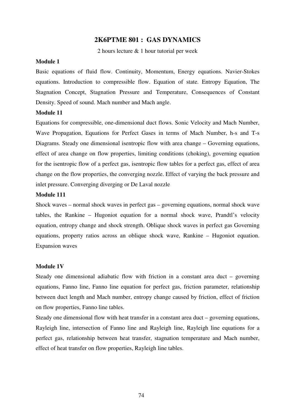# **2K6PTME 801 : GAS DYNAMICS**

2 hours lecture & 1 hour tutorial per week

### **Module 1**

Basic equations of fluid flow. Continuity, Momentum, Energy equations. Navier-Stokes equations. Introduction to compressible flow. Equation of state. Entropy Equation, The Stagnation Concept, Stagnation Pressure and Temperature, Consequences of Constant Density. Speed of sound. Mach number and Mach angle.

#### **Module 11**

Equations for compressible, one-dimensional duct flows. Sonic Velocity and Mach Number, Wave Propagation, Equations for Perfect Gases in terms of Mach Number, h-s and T-s Diagrams. Steady one dimensional isentropic flow with area change – Governing equations, effect of area change on flow properties, limiting conditions (choking), governing equation for the isentropic flow of a perfect gas, isentropic flow tables for a perfect gas, effect of area change on the flow properties, the converging nozzle. Effect of varying the back pressure and inlet pressure. Converging diverging or De Laval nozzle

### **Module 111**

Shock waves – normal shock waves in perfect gas – governing equations, normal shock wave tables, the Rankine – Hugoniot equation for a normal shock wave, Prandtl's velocity equation, entropy change and shock strength. Oblique shock waves in perfect gas Governing equations, property ratios across an oblique shock wave, Rankine – Hugoniot equation. Expansion waves

#### **Module 1V**

Steady one dimensional adiabatic flow with friction in a constant area duct – governing equations, Fanno line, Fanno line equation for perfect gas, friction parameter, relationship between duct length and Mach number, entropy change caused by friction, effect of friction on flow properties, Fanno line tables.

Steady one dimensional flow with heat transfer in a constant area duct – governing equations, Rayleigh line, intersection of Fanno line and Rayleigh line, Rayleigh line equations for a perfect gas, relationship between heat transfer, stagnation temperature and Mach number, effect of heat transfer on flow properties, Rayleigh line tables.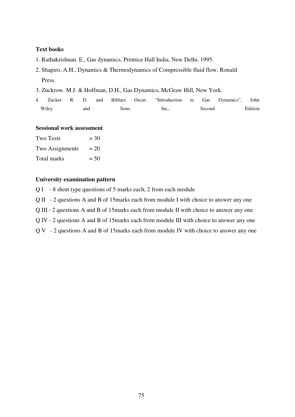### **Text books**

- 1. Rathakrishnan. E., Gas dynamics, Prentice Hall India, New Delhi, 1995.
- 2. Shapiro, A.H., Dynamics & Thermodynamics of Compressible fluid flow, Ronald Press.
- 3. Zuckrow. M.J. & Hoffman, D.H., Gas Dynamics, McGraw Hill, New York.
- 4. Zucker R. D. and Biblarz Oscar, "Introduction to Gas Dynamics", John Wiley and Sons. Inc., Second Edition

| <b>Sessional work assessment</b> |  |  |  |
|----------------------------------|--|--|--|
|----------------------------------|--|--|--|

| Two Tests       | $=$ 30 |
|-----------------|--------|
| Two Assignments | $= 20$ |
| Total marks     | $= 50$ |

### **University examination pattern**

- Q I 8 short type questions of 5 marks each, 2 from each module
- Q II 2 questions A and B of 15marks each from module I with choice to answer any one
- Q III 2 questions A and B of 15marks each from module II with choice to answer any one
- Q IV 2 questions A and B of 15marks each from module III with choice to answer any one
- Q V 2 questions A and B of 15marks each from module IV with choice to answer any one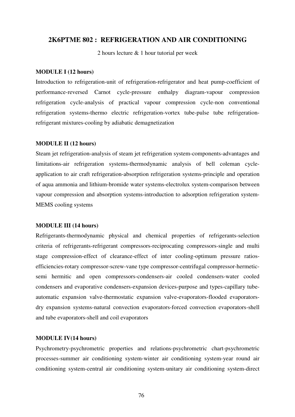### **2K6PTME 802 : REFRIGERATION AND AIR CONDITIONING**

2 hours lecture & 1 hour tutorial per week

#### **MODULE I (12 hours)**

Introduction to refrigeration-unit of refrigeration-refrigerator and heat pump-coefficient of performance-reversed Carnot cycle-pressure enthalpy diagram-vapour compression refrigeration cycle-analysis of practical vapour compression cycle-non conventional refrigeration systems-thermo electric refrigeration-vortex tube-pulse tube refrigerationrefrigerant mixtures-cooling by adiabatic demagnetization

### **MODULE II (12 hours)**

Steam jet refrigeration-analysis of steam jet refrigeration system-components-advantages and limitations-air refrigeration systems-thermodynamic analysis of bell coleman cycleapplication to air craft refrigeration-absorption refrigeration systems-principle and operation of aqua ammonia and lithium-bromide water systems-electrolux system-comparison between vapour compression and absorption systems-introduction to adsorption refrigeration system-MEMS cooling systems

### **MODULE III (14 hours)**

Refrigerants-thermodynamic physical and chemical properties of refrigerants-selection criteria of refrigerants-refrigerant compressors-reciprocating compressors-single and multi stage compression-effect of clearance-effect of inter cooling-optimum pressure ratiosefficiencies-rotary compressor-screw-vane type compressor-centrifugal compressor-hermeticsemi hermitic and open compressors-condensers-air cooled condensers-water cooled condensers and evaporative condensers-expansion devices-purpose and types-capillary tubeautomatic expansion valve-thermostatic expansion valve-evaporators-flooded evaporatorsdry expansion systems-natural convection evaporators-forced convection evaporators-shell and tube evaporators-shell and coil evaporators

### **MODULE IV(14 hours)**

Psychrometry-psychrometric properties and relations-psychrometric chart-psychrometric processes-summer air conditioning system-winter air conditioning system-year round air conditioning system-central air conditioning system-unitary air conditioning system-direct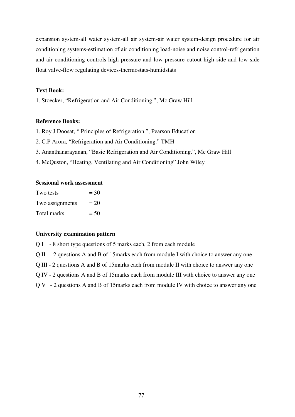expansion system-all water system-all air system-air water system-design procedure for air conditioning systems-estimation of air conditioning load-noise and noise control-refrigeration and air conditioning controls-high pressure and low pressure cutout-high side and low side float valve-flow regulating devices-thermostats-humidstats

### **Text Book:**

1. Stoecker, "Refrigeration and Air Conditioning.", Mc Graw Hill

#### **Reference Books:**

- 1. Roy J Doosat, " Principles of Refrigeration.", Pearson Education
- 2. C.P Arora, "Refrigeration and Air Conditioning." TMH
- 3. Ananthanarayanan, "Basic Refrigeration and Air Conditioning.", Mc Graw Hill
- 4. McQuston, "Heating, Ventilating and Air Conditioning" John Wiley

### **Sessional work assessment**

| Two tests       | $=$ 30 |
|-----------------|--------|
| Two assignments | $= 20$ |
| Total marks     | $= 50$ |

### **University examination pattern**

Q I - 8 short type questions of 5 marks each, 2 from each module

Q II - 2 questions A and B of 15marks each from module I with choice to answer any one

Q III - 2 questions A and B of 15marks each from module II with choice to answer any one

Q IV - 2 questions A and B of 15marks each from module III with choice to answer any one

Q V - 2 questions A and B of 15marks each from module IV with choice to answer any one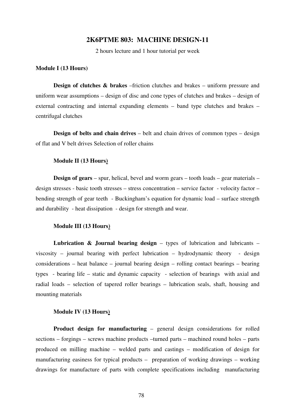#### **2K6PTME 803: MACHINE DESIGN-11**

2 hours lecture and 1 hour tutorial per week

#### **Module I (13 Hours)**

**Design of clutches & brakes** –friction clutches and brakes – uniform pressure and uniform wear assumptions – design of disc and cone types of clutches and brakes – design of external contracting and internal expanding elements – band type clutches and brakes – centrifugal clutches

**Design of belts and chain drives** – belt and chain drives of common types – design of flat and V belt drives Selection of roller chains

#### **Module II (13 Hours)**

**Design of gears** – spur, helical, bevel and worm gears – tooth loads – gear materials – design stresses - basic tooth stresses – stress concentration – service factor - velocity factor – bending strength of gear teeth - Buckingham's equation for dynamic load – surface strength and durability - heat dissipation - design for strength and wear.

### **Module III (13 Hours)**

**Lubrication & Journal bearing design** – types of lubrication and lubricants – viscosity – journal bearing with perfect lubrication – hydrodynamic theory - design considerations – heat balance – journal bearing design – rolling contact bearings – bearing types - bearing life – static and dynamic capacity - selection of bearings with axial and radial loads – selection of tapered roller bearings – lubrication seals, shaft, housing and mounting materials

### **Module IV (13 Hours)**

**Product design for manufacturing** – general design considerations for rolled sections – forgings – screws machine products –turned parts – machined round holes – parts produced on milling machine – welded parts and castings – modification of design for manufacturing easiness for typical products – preparation of working drawings – working drawings for manufacture of parts with complete specifications including manufacturing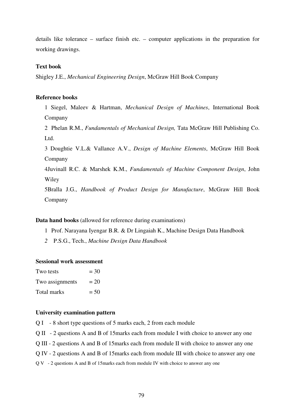details like tolerance – surface finish etc. – computer applications in the preparation for working drawings.

#### **Text book**

Shigley J.E., *Mechanical Engineering Design*, McGraw Hill Book Company

### **Reference books**

1 Siegel, Maleev & Hartman, *Mechanical Design of Machines*, International Book Company

2 Phelan R.M., *Fundamentals of Mechanical Design,* Tata McGraw Hill Publishing Co. Ltd.

3 Doughtie V.L.& Vallance A.V., *Design of Machine Elements*, McGraw Hill Book Company

4Juvinall R.C. & Marshek K.M., *Fundamentals of Machine Component Design*, John Wiley

5Bralla J.G., *Handbook of Product Design for Manufacture*, McGraw Hill Book Company

**Data hand books** (allowed for reference during examinations)

- 1 Prof. Narayana Iyengar B.R. & Dr Lingaiah K., Machine Design Data Handbook
- *2* P.S.G., Tech., *Machine Design Data Handbook*

#### **Sessional work assessment**

| Two tests       | $=$ 30 |
|-----------------|--------|
| Two assignments | $= 20$ |
| Total marks     | $= 50$ |

#### **University examination pattern**

Q I - 8 short type questions of 5 marks each, 2 from each module

Q II - 2 questions A and B of 15marks each from module I with choice to answer any one

Q III - 2 questions A and B of 15marks each from module II with choice to answer any one

Q IV - 2 questions A and B of 15marks each from module III with choice to answer any one

Q V - 2 questions A and B of 15marks each from module IV with choice to answer any one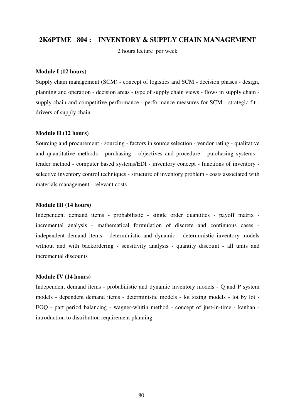### **2K6PTME 804 : INVENTORY & SUPPLY CHAIN MANAGEMENT**

2 hours lecture per week

### **Module I (12 hours)**

Supply chain management (SCM) - concept of logistics and SCM - decision phases - design, planning and operation - decision areas - type of supply chain views - flows in supply chain supply chain and competitive performance - performance measures for SCM - strategic fit drivers of supply chain

#### **Module II (12 hours)**

Sourcing and procurement - sourcing - factors in source selection - vendor rating - qualitative and quantitative methods - purchasing - objectives and procedure - purchasing systems tender method - computer based systems/EDI - inventory concept - functions of inventory selective inventory control techniques - structure of inventory problem - costs associated with materials management - relevant costs

### **Module III (14 hours)**

Independent demand items - probabilistic - single order quantities - payoff matrix incremental analysis - mathematical formulation of discrete and continuous cases independent demand items - deterministic and dynamic - deterministic inventory models without and with backordering - sensitivity analysis - quantity discount - all units and incremental discounts

#### **Module IV (14 hours)**

Independent demand items - probabilistic and dynamic inventory models - Q and P system models - dependent demand items - deterministic models - lot sizing models - lot by lot - EOQ - part period balancing - wagner-whitin method - concept of just-in-time - kanban introduction to distribution requirement planning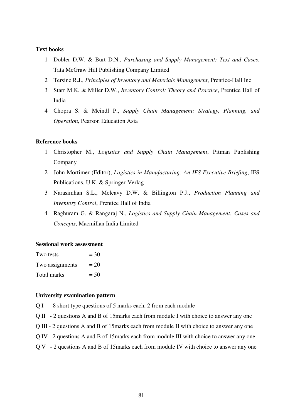### **Text books**

- 1 Dobler D.W. & Burt D.N., *Purchasing and Supply Management: Text and Cases*, Tata McGraw Hill Publishing Company Limited
- 2 Tersine R.J., *Principles of Inventory and Materials Management*, Prentice-Hall Inc
- 3 Starr M.K. & Miller D.W., *Inventory Control: Theory and Practice*, Prentice Hall of India
- 4 Chopra S. & Meindl P., *Supply Chain Management: Strategy, Planning, and Operation,* Pearson Education Asia

### **Reference books**

- 1 Christopher M., *Logistics and Supply Chain Management*, Pitman Publishing Company
- 2 John Mortimer (Editor), *Logistics in Manufacturing: An IFS Executive Briefing*, IFS Publications, U.K. & Springer-Verlag
- 3 Narasimhan S.L., Mcleavy D.W. & Billington P.J., *Production Planning and Inventory Control*, Prentice Hall of India
- 4 Raghuram G. & Rangaraj N., *Logistics and Supply Chain Management: Cases and Concepts*, Macmillan India Limited

#### **Sessional work assessment**

| Two tests       | $=$ 30 |
|-----------------|--------|
| Two assignments | $= 20$ |
| Total marks     | $= 50$ |

### **University examination pattern**

- Q I 8 short type questions of 5 marks each, 2 from each module
- Q II 2 questions A and B of 15marks each from module I with choice to answer any one
- Q III 2 questions A and B of 15marks each from module II with choice to answer any one
- Q IV 2 questions A and B of 15marks each from module III with choice to answer any one
- Q V 2 questions A and B of 15marks each from module IV with choice to answer any one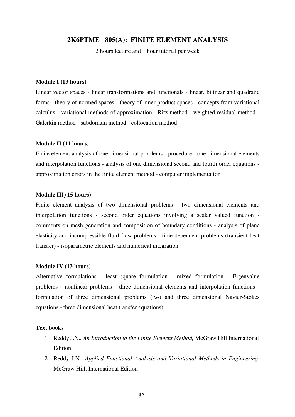### **2K6PTME 805(A): FINITE ELEMENT ANALYSIS**

2 hours lecture and 1 hour tutorial per week

#### **Module I (13 hours)**

Linear vector spaces - linear transformations and functionals - linear, bilinear and quadratic forms - theory of normed spaces - theory of inner product spaces - concepts from variational calculus - variational methods of approximation - Ritz method - weighted residual method - Galerkin method - subdomain method - collocation method

#### **Module II (11 hours)**

Finite element analysis of one dimensional problems - procedure - one dimensional elements and interpolation functions - analysis of one dimensional second and fourth order equations approximation errors in the finite element method - computer implementation

#### **Module III (15 hours)**

Finite element analysis of two dimensional problems - two dimensional elements and interpolation functions - second order equations involving a scalar valued function comments on mesh generation and composition of boundary conditions - analysis of plane elasticity and incompressible fluid flow problems - time dependent problems (transient heat transfer) - isoparametric elements and numerical integration

#### **Module IV (13 hours)**

Alternative formulations - least square formulation - mixed formulation - Eigenvalue problems - nonlinear problems - three dimensional elements and interpolation functions formulation of three dimensional problems (two and three dimensional Navier-Stokes equations - three dimensional heat transfer equations)

### **Text books**

- 1 Reddy J.N., *An Introduction to the Finite Element Method,* McGraw Hill International **Edition**
- 2 Reddy J.N., *Applied Functional Analysis and Variational Methods in Engineering*, McGraw Hill, International Edition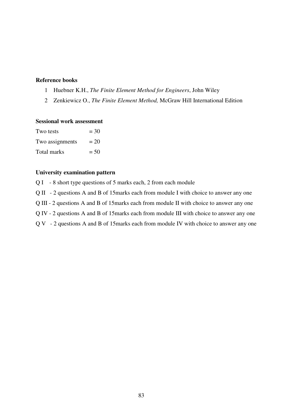# **Reference books**

- 1 Huebner K.H., *The Finite Element Method for Engineers*, John Wiley
- 2 Zenkiewicz O., *The Finite Element Method,* McGraw Hill International Edition

#### **Sessional work assessment**

| Two tests       | $=$ 30 |
|-----------------|--------|
| Two assignments | $= 20$ |
| Total marks     | $= 50$ |

# **University examination pattern**

Q I - 8 short type questions of 5 marks each, 2 from each module

Q II - 2 questions A and B of 15marks each from module I with choice to answer any one

Q III - 2 questions A and B of 15marks each from module II with choice to answer any one

Q IV - 2 questions A and B of 15marks each from module III with choice to answer any one

Q V - 2 questions A and B of 15marks each from module IV with choice to answer any one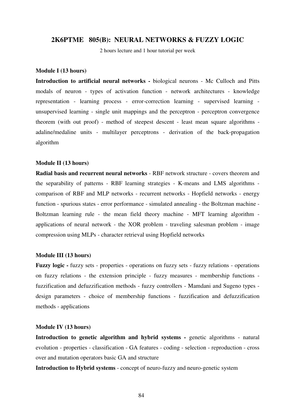### **2K6PTME 805(B): NEURAL NETWORKS & FUZZY LOGIC**

2 hours lecture and 1 hour tutorial per week

#### **Module I (13 hours)**

**Introduction to artificial neural networks -** biological neurons - Mc Culloch and Pitts modals of neuron - types of activation function - network architectures - knowledge representation - learning process - error-correction learning - supervised learning unsupervised learning - single unit mappings and the perceptron - perceptron convergence theorem (with out proof) - method of steepest descent - least mean square algorithms adaline/medaline units - multilayer perceptrons - derivation of the back-propagation algorithm

#### **Module II (13 hours)**

**Radial basis and recurrent neural networks** - RBF network structure - covers theorem and the separability of patterns - RBF learning strategies - K-means and LMS algorithms comparison of RBF and MLP networks - recurrent networks - Hopfield networks - energy function - spurious states - error performance - simulated annealing - the Boltzman machine - Boltzman learning rule - the mean field theory machine - MFT learning algorithm applications of neural network - the XOR problem - traveling salesman problem - image compression using MLPs - character retrieval using Hopfield networks

#### **Module III (13 hours)**

**Fuzzy logic -** fuzzy sets - properties - operations on fuzzy sets - fuzzy relations - operations on fuzzy relations - the extension principle - fuzzy measures - membership functions fuzzification and defuzzification methods - fuzzy controllers - Mamdani and Sugeno types design parameters - choice of membership functions - fuzzification and defuzzification methods - applications

#### **Module IV (13 hours)**

**Introduction to genetic algorithm and hybrid systems - genetic algorithms - natural** evolution - properties - classification - GA features - coding - selection - reproduction - cross over and mutation operators basic GA and structure

**Introduction to Hybrid systems** - concept of neuro-fuzzy and neuro-genetic system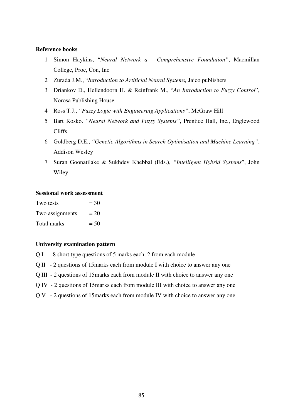### **Reference books**

- 1 Simon Haykins, "*Neural Network a Comprehensive Foundation"*, Macmillan College, Proc, Con, Inc
- 2 Zurada J.M., "*Introduction to Artificial Neural Systems,* Jaico publishers
- 3 Driankov D., Hellendoorn H. & Reinfrank M., "*An Introduction to Fuzzy Control*", Norosa Publishing House
- 4 Ross T.J., *"Fuzzy Logic with Engineering Applications"*, McGraw Hill
- 5 Bart Kosko. *"Neural Network and Fuzzy Systems"*, Prentice Hall, Inc., Englewood Cliffs
- 6 Goldberg D.E., *"Genetic Algorithms in Search Optimisation and Machine Learning"*, Addison Wesley
- 7 Suran Goonatilake & Sukhdev Khebbal (Eds.), *"Intelligent Hybrid Systems*", John Wiley

### **Sessional work assessment**

| Two tests       | $=$ 30 |
|-----------------|--------|
| Two assignments | $= 20$ |
| Total marks     | $= 50$ |

### **University examination pattern**

- Q I 8 short type questions of 5 marks each, 2 from each module
- Q II 2 questions of 15marks each from module I with choice to answer any one
- Q III 2 questions of 15marks each from module II with choice to answer any one
- Q IV 2 questions of 15marks each from module III with choice to answer any one
- Q V 2 questions of 15marks each from module IV with choice to answer any one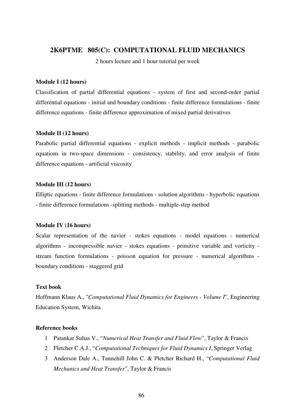# **2K6PTME 805(C): COMPUTATIONAL FLUID MECHANICS**

2 hours lecture and 1 hour tutorial per week

#### **Module I (12 hours)**

Classification of partial differential equations - system of first and second-order partial differential equations - initial and boundary conditions - finite difference formulations - finite difference equations - finite difference approximation of mixed partial derivatives

#### **Module II (12 hours)**

Parabolic partial differential equations - explicit methods - implicit methods - parabolic equations in two-space dimensions - consistency, stability, and error analysis of finite difference equations - artificial viscosity

#### **Module III (12 hours)**

Elliptic equations - finite difference formulations - solution algorithms - hyperbolic equations - finite difference formulations -splitting methods - multiple-step method

### **Module IV (16 hours)**

Scalar representation of the navier - stokes equations - model equations - numerical algorithms - incompressible navier - stokes equations - primitive variable and vorticity stream function formulations - poisson equation for pressure - numerical algorithms boundary conditions - staggered grid

#### **Text book**

Hoffmann Klaus A., "*Computational Fluid Dynamics for Engineers - Volume I*", Engineering Education System, Wichita

### **Reference books**

- 1 Patankar Suhas V., "*Numerical Heat Transfer and Fluid Flow*", Taylor & Francis
- 2 Fletcher C.A.J., "*Computational Techniques for Fluid Dynamics I*, Springer Verlag
- 3 Anderson Dale A., Tannehill John C. & Pletcher Richard H., "*Computational Fluid Mechanics and Heat Transfer*", Taylor & Francis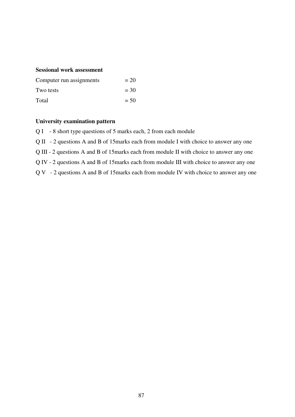# **Sessional work assessment**

| Computer run assignments | $= 20$ |
|--------------------------|--------|
| Two tests                | $= 30$ |
| Total                    | $= 50$ |

#### **University examination pattern**

Q I - 8 short type questions of 5 marks each, 2 from each module

Q II - 2 questions A and B of 15marks each from module I with choice to answer any one

Q III - 2 questions A and B of 15marks each from module II with choice to answer any one

Q IV - 2 questions A and B of 15marks each from module III with choice to answer any one

Q V - 2 questions A and B of 15marks each from module IV with choice to answer any one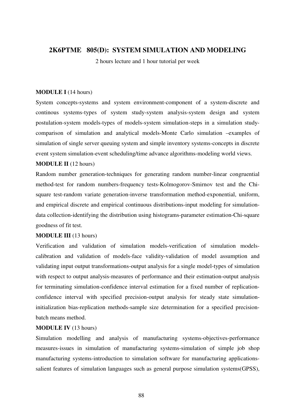# **2K6PTME 805(D): SYSTEM SIMULATION AND MODELING**

2 hours lecture and 1 hour tutorial per week

### **MODULE I** (14 hours)

System concepts-systems and system environment-component of a system-discrete and continous systems-types of system study-system analysis-system design and system postulation-system models-types of models-system simulation-steps in a simulation studycomparison of simulation and analytical models-Monte Carlo simulation –examples of simulation of single server queuing system and simple inventory systems-concepts in discrete event system simulation-event scheduling/time advance algorithms-modeling world views.

### **MODULE II** (12 hours)

Random number generation-techniques for generating random number-linear congruential method-test for random numbers-frequency tests-Kolmogorov-Smirnov test and the Chisquare test-random variate generation-inverse transformation method-exponential, uniform, and empirical discrete and empirical continuous distributions-input modeling for simulationdata collection-identifying the distribution using histograms-parameter estimation-Chi-square goodness of fit test.

#### **MODULE III** (13 hours)

Verification and validation of simulation models-verification of simulation modelscalibration and validation of models-face validity-validation of model assumption and validating input output transformations-output analysis for a single model-types of simulation with respect to output analysis-measures of performance and their estimation-output analysis for terminating simulation-confidence interval estimation for a fixed number of replicationconfidence interval with specified precision-output analysis for steady state simulationinitialization bias-replication methods-sample size determination for a specified precisionbatch means method.

#### **MODULE IV** (13 hours)

Simulation modelling and analysis of manufacturing systems-objectives-performance measures-issues in simulation of manufacturing systems-simulation of simple job shop manufacturing systems-introduction to simulation software for manufacturing applicationssalient features of simulation languages such as general purpose simulation systems(GPSS),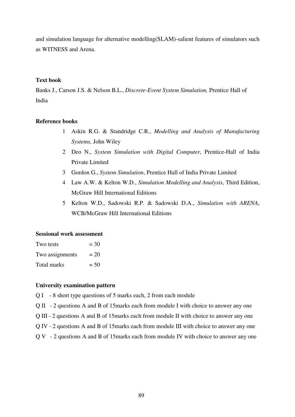and simulation language for alternative modelling(SLAM)-salient features of simulators such as WITNESS and Arena.

### **Text book**

Banks J., Carson J.S. & Nelson B.L., *Discrete-Event System Simulation,* Prentice Hall of India

### **Reference books**

- 1 Askin R.G. & Standridge C.R., *Modelling and Analysis of Manufacturing Systems,* John Wiley
- 2 Deo N., *System Simulation with Digital Computer*, Prentice-Hall of India Private Limited
- 3 Gordon G., *System Simulation*, Prentice Hall of India Private Limited
- 4 Law A.W. & Kelton W.D., *Simulation Modelling and Analysis*, Third Edition, McGraw Hill International Editions
- 5 Kelton W.D., Sadowski R.P. & Sadowski D.A., *Simulation with ARENA*, WCB/McGraw Hill International Editions

### **Sessional work assessment**

| Two tests       | $=$ 30 |
|-----------------|--------|
| Two assignments | $= 20$ |
| Total marks     | $= 50$ |

### **University examination pattern**

Q I - 8 short type questions of 5 marks each, 2 from each module

Q II - 2 questions A and B of 15marks each from module I with choice to answer any one

- Q III 2 questions A and B of 15marks each from module II with choice to answer any one
- Q IV 2 questions A and B of 15marks each from module III with choice to answer any one
- Q V 2 questions A and B of 15marks each from module IV with choice to answer any one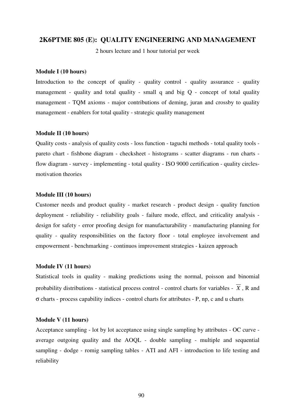### **2K6PTME 805 (E): QUALITY ENGINEERING AND MANAGEMENT**

2 hours lecture and 1 hour tutorial per week

#### **Module I (10 hours)**

Introduction to the concept of quality - quality control - quality assurance - quality management - quality and total quality - small q and big Q - concept of total quality management - TQM axioms - major contributions of deming, juran and crossby to quality management - enablers for total quality - strategic quality management

#### **Module II (10 hours)**

Quality costs - analysis of quality costs - loss function - taguchi methods - total quality tools pareto chart - fishbone diagram - checksheet - histograms - scatter diagrams - run charts flow diagram - survey - implementing - total quality - ISO 9000 certification - quality circlesmotivation theories

#### **Module III (10 hours)**

Customer needs and product quality - market research - product design - quality function deployment - reliability - reliability goals - failure mode, effect, and criticality analysis design for safety - error proofing design for manufacturability - manufacturing planning for quality - quality responsibilities on the factory floor - total employee involvement and empowerment - benchmarking - continuos improvement strategies - kaizen approach

#### **Module IV (11 hours)**

Statistical tools in quality - making predictions using the normal, poisson and binomial probability distributions - statistical process control - control charts for variables -  $\overline{X}$ . R and σ charts - process capability indices - control charts for attributes - P, np, c and u charts

#### **Module V (11 hours)**

Acceptance sampling - lot by lot acceptance using single sampling by attributes - OC curve average outgoing quality and the AOQL - double sampling - multiple and sequential sampling - dodge - romig sampling tables - ATI and AFI - introduction to life testing and reliability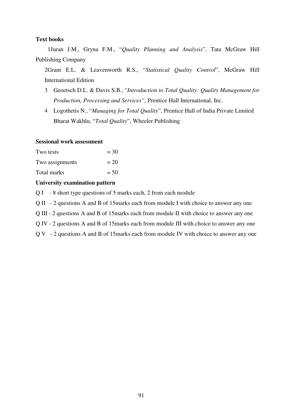#### **Text books**

 1Juran J.M., Gryna F.M., "*Quality Planning and Analysis*", Tata McGraw Hill Publishing Company

2Grant E.L. & Leavenworth R.S., "*Statistical Quality Control*", McGraw Hill International Edition

- 3 Geoetsch D.L. & Davis S.B., "*Introduction to Total Quality: Quality Management for Production, Processing and Services",* Prentice Hall International, Inc.
- 4 Logothetis N., "*Managing for Total Quality*", Prentice Hall of India Private Limited Bharat Wakhlu, "*Total Quality*", Wheeler Publishing

#### **Sessional work assessment**

| Two tests       | $=$ 30 |
|-----------------|--------|
| Two assignments | $= 20$ |
| Total marks     | $= 50$ |

# **University examination pattern**

- Q I 8 short type questions of 5 marks each, 2 from each module
- Q II 2 questions A and B of 15marks each from module I with choice to answer any one
- Q III 2 questions A and B of 15marks each from module II with choice to answer any one
- Q IV 2 questions A and B of 15marks each from module III with choice to answer any one
- Q V 2 questions A and B of 15marks each from module IV with choice to answer any one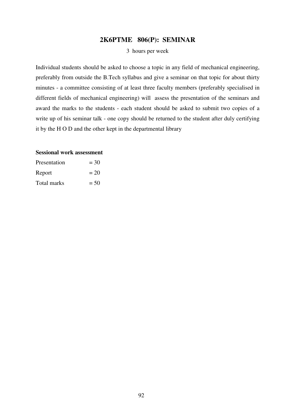# **2K6PTME 806(P): SEMINAR**

#### 3 hours per week

Individual students should be asked to choose a topic in any field of mechanical engineering, preferably from outside the B.Tech syllabus and give a seminar on that topic for about thirty minutes - a committee consisting of at least three faculty members (preferably specialised in different fields of mechanical engineering) will assess the presentation of the seminars and award the marks to the students - each student should be asked to submit two copies of a write up of his seminar talk - one copy should be returned to the student after duly certifying it by the H O D and the other kept in the departmental library

#### **Sessional work assessment**

| Presentation | $=$ 30 |
|--------------|--------|
| Report       | $= 20$ |
| Total marks  | $= 50$ |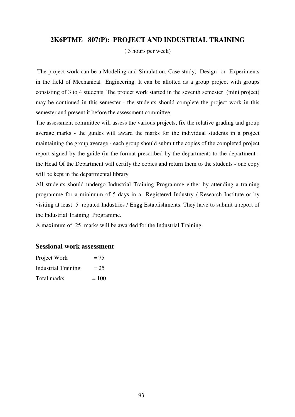### **2K6PTME 807(P): PROJECT AND INDUSTRIAL TRAINING**

( 3 hours per week)

 The project work can be a Modeling and Simulation, Case study, Design or Experiments in the field of Mechanical Engineering. It can be allotted as a group project with groups consisting of 3 to 4 students. The project work started in the seventh semester (mini project) may be continued in this semester - the students should complete the project work in this semester and present it before the assessment committee

The assessment committee will assess the various projects, fix the relative grading and group average marks - the guides will award the marks for the individual students in a project maintaining the group average - each group should submit the copies of the completed project report signed by the guide (in the format prescribed by the department) to the department the Head Of the Department will certify the copies and return them to the students - one copy will be kept in the departmental library

All students should undergo Industrial Training Programme either by attending a training programme for a minimum of 5 days in a Registered Industry / Research Institute or by visiting at least 5 reputed Industries / Engg Establishments. They have to submit a report of the Industrial Training Programme.

A maximum of 25 marks will be awarded for the Industrial Training.

# **Sessional work assessment**

| Project Work               | $= 75$  |
|----------------------------|---------|
| <b>Industrial Training</b> | $= 25$  |
| Total marks                | $= 100$ |